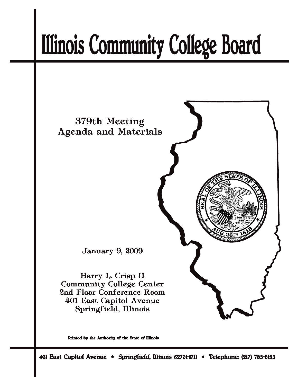# **Illinois Community College Board**



Printed by the Authority of the State of Illinois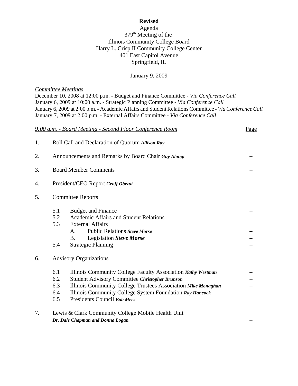#### **Revised**

## Agenda 379<sup>th</sup> Meeting of the Illinois Community College Board Harry L. Crisp II Community College Center 401 East Capitol Avenue Springfield, IL

#### January 9, 2009

#### *Committee Meetings*

December 10, 2008 at 12:00 p.m. - Budget and Finance Committee - *Via Conference Call* January 6, 2009 at 10:00 a.m. - Strategic Planning Committee - *Via Conference Call* January 6, 2009 at 2:00 p.m. - Academic Affairs and Student Relations Committee - *Via Conference Call* January 7, 2009 at 2:00 p.m. - External Affairs Committee - *Via Conference Call*

|    |                                                     | 9:00 a.m. - Board Meeting - Second Floor Conference Room                                                                                                                                                                                                                   | Page |  |
|----|-----------------------------------------------------|----------------------------------------------------------------------------------------------------------------------------------------------------------------------------------------------------------------------------------------------------------------------------|------|--|
| 1. |                                                     | Roll Call and Declaration of Quorum Allison Ray                                                                                                                                                                                                                            |      |  |
| 2. | Announcements and Remarks by Board Chair Guy Alongi |                                                                                                                                                                                                                                                                            |      |  |
| 3. | <b>Board Member Comments</b>                        |                                                                                                                                                                                                                                                                            |      |  |
| 4. | President/CEO Report Geoff Obrzut                   |                                                                                                                                                                                                                                                                            |      |  |
| 5. | <b>Committee Reports</b>                            |                                                                                                                                                                                                                                                                            |      |  |
|    | 5.1<br>5.2<br>5.3<br>5.4                            | <b>Budget and Finance</b><br><b>Academic Affairs and Student Relations</b><br><b>External Affairs</b><br><b>Public Relations Steve Morse</b><br>$\mathsf{A}$ .<br>Legislation Steve Morse<br><b>B.</b><br><b>Strategic Planning</b>                                        |      |  |
| 6. | <b>Advisory Organizations</b>                       |                                                                                                                                                                                                                                                                            |      |  |
|    | 6.1<br>6.2<br>6.3<br>6.4<br>6.5                     | Illinois Community College Faculty Association Kathy Westman<br>Student Advisory Committee Christopher Brunson<br>Illinois Community College Trustees Association Mike Monaghan<br>Illinois Community College System Foundation Ray Hancock<br>Presidents Council Bob Mees |      |  |
| 7. |                                                     | Lewis & Clark Community College Mobile Health Unit<br>Dr. Dale Chapman and Donna Logan                                                                                                                                                                                     |      |  |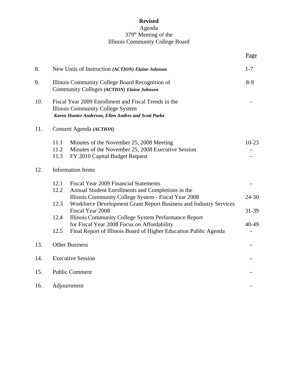# **Revised** Agenda 379<sup>th</sup> Meeting of the Illinois Community College Board

|     |                                                                                                                                                                                                                                                                                                                                                                                           | Page                        |  |  |
|-----|-------------------------------------------------------------------------------------------------------------------------------------------------------------------------------------------------------------------------------------------------------------------------------------------------------------------------------------------------------------------------------------------|-----------------------------|--|--|
| 8.  | New Units of Instruction (ACTION) Elaine Johnson                                                                                                                                                                                                                                                                                                                                          | $1 - 7$                     |  |  |
| 9.  | Illinois Community College Board Recognition of<br>Community Colleges (ACTION) Elaine Johnson                                                                                                                                                                                                                                                                                             |                             |  |  |
| 10. | Fiscal Year 2009 Enrollment and Fiscal Trends in the<br>Illinois Community College System<br>Karen Hunter Anderson, Ellen Andres and Scott Parke                                                                                                                                                                                                                                          |                             |  |  |
| 11. | Consent Agenda (ACTION)                                                                                                                                                                                                                                                                                                                                                                   |                             |  |  |
|     | 11.1<br>Minutes of the November 25, 2008 Meeting<br>11.2<br>Minutes of the November 25, 2008 Executive Session<br>11.3<br>FY 2010 Capital Budget Request                                                                                                                                                                                                                                  | $10 - 23$                   |  |  |
| 12. | <b>Information Items</b>                                                                                                                                                                                                                                                                                                                                                                  |                             |  |  |
|     | 12.1<br><b>Fiscal Year 2009 Financial Statements</b><br>12.2<br>Annual Student Enrollments and Completions in the<br>Illinois Community College System - Fiscal Year 2008<br>12.3<br>Workforce Development Grant Report Business and Industry Services<br>Fiscal Year 2008<br>12.4<br>Illinois Community College System Performance Report<br>for Fiscal Year 2008 Focus on Affordability | $24 - 30$<br>31-39<br>40-49 |  |  |
| 13. | 12.5<br>Final Report of Illinois Board of Higher Education Public Agenda<br><b>Other Business</b>                                                                                                                                                                                                                                                                                         |                             |  |  |
| 14. | <b>Executive Session</b>                                                                                                                                                                                                                                                                                                                                                                  |                             |  |  |
| 15. | <b>Public Comment</b>                                                                                                                                                                                                                                                                                                                                                                     |                             |  |  |
| 16. | Adjournment                                                                                                                                                                                                                                                                                                                                                                               |                             |  |  |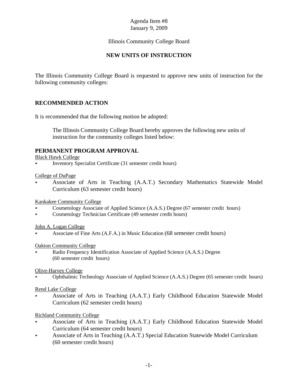# Illinois Community College Board

# **NEW UNITS OF INSTRUCTION**

The Illinois Community College Board is requested to approve new units of instruction for the following community colleges:

## **RECOMMENDED ACTION**

It is recommended that the following motion be adopted:

The Illinois Community College Board hereby approves the following new units of instruction for the community colleges listed below:

## **PERMANENT PROGRAM APPROVAL**

Black Hawk College

< Inventory Specialist Certificate (31 semester credit hours)

College of DuPage

< Associate of Arts in Teaching (A.A.T.) Secondary Mathematics Statewide Model Curriculum (63 semester credit hours)

Kankakee Community College

- < Cosmetology Associate of Applied Science (A.A.S.) Degree (67 semester credit hours)
- < Cosmetology Technician Certificate (49 semester credit hours)

John A. Logan College

< Associate of Fine Arts (A.F.A.) in Music Education (68 semester credit hours)

#### Oakton Community College

Radio Frequency Identification Associate of Applied Science (A.A.S.) Degree (60 semester credit hours)

Olive-Harvey College

< Ophthalmic Technology Associate of Applied Science (A.A.S.) Degree (65 semester credit hours)

Rend Lake College

< Associate of Arts in Teaching (A.A.T.) Early Childhood Education Statewide Model Curriculum (62 semester credit hours)

## Richland Community College

- < Associate of Arts in Teaching (A.A.T.) Early Childhood Education Statewide Model Curriculum (64 semester credit hours)
- < Associate of Arts in Teaching (A.A.T.) Special Education Statewide Model Curriculum (60 semester credit hours)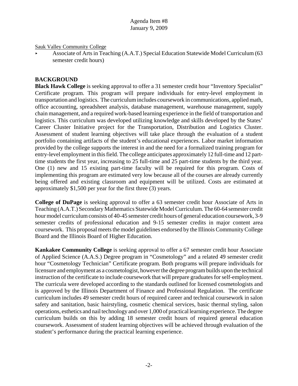Sauk Valley Community College

< Associate of Arts in Teaching (A.A.T.) Special Education Statewide Model Curriculum (63 semester credit hours)

## **BACKGROUND**

**Black Hawk College** is seeking approval to offer a 31 semester credit hour "Inventory Specialist" Certificate program. This program will prepare individuals for entry-level employment in transportation and logistics. The curriculum includes coursework in communications, applied math, office accounting, spreadsheet analysis, database management, warehouse management, supply chain management, and a required work-based learning experience in the field of transportation and logistics. This curriculum was developed utilizing knowledge and skills developed by the States' Career Cluster Initiative project for the Transportation, Distribution and Logistics Cluster. Assessment of student learning objectives will take place through the evaluation of a student portfolio containing artifacts of the student's educational experiences. Labor market information provided by the college supports the interest in and the need for a formalized training program for entry-level employment in this field. The college anticipates approximately 12 full-time and 12 parttime students the first year, increasing to 25 full-time and 25 part-time students by the third year. One (1) new and 15 existing part-time faculty will be required for this program. Costs of implementing this program are estimated very low because all of the courses are already currently being offered and existing classroom and equipment will be utilized. Costs are estimated at approximately \$1,500 per year for the first three (3) years.

**College of DuPage** is seeking approval to offer a 63 semester credit hour Associate of Arts in Teaching (A.A.T.) Secondary Mathematics Statewide Model Curriculum. The 60-64 semester credit hour model curriculum consists of 40-45 semester credit hours of general education coursework, 3-9 semester credits of professional education and 9-15 semester credits in major content area coursework. This proposal meets the model guidelines endorsed by the Illinois Community College Board and the Illinois Board of Higher Education.

**Kankakee Community College** is seeking approval to offer a 67 semester credit hour Associate of Applied Science (A.A.S.) Degree program in "Cosmetology" and a related 49 semester credit hour "Cosmetology Technician" Certificate program. Both programs will prepare individuals for licensure and employment as a cosmetologist, however the degree program builds upon the technical instruction of the certificate to include coursework that will prepare graduates for self-employment. The curricula were developed according to the standards outlined for licensed cosmetologists and is approved by the Illinois Department of Finance and Professional Regulation. The certificate curriculum includes 49 semester credit hours of required career and technical coursework in salon safety and sanitation, basic hairstyling, cosmetic chemical services, basic thermal styling, salon operations, esthetics and nail technology and over 1,000 of practical learning experience. The degree curriculum builds on this by adding 18 semester credit hours of required general education coursework. Assessment of student learning objectives will be achieved through evaluation of the student's performance during the practical learning experience.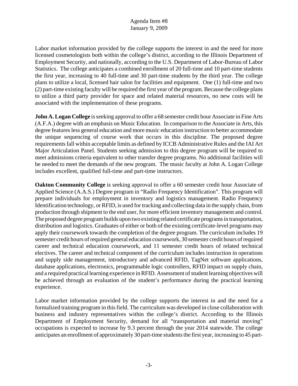Labor market information provided by the college supports the interest in and the need for more licensed cosmetologists both within the college's district, according to the Illinois Department of Employment Security, and nationally, according to the U.S. Department of Labor-Bureau of Labor Statistics. The college anticipates a combined enrollment of 20 full-time and 10 part-time students the first year, increasing to 40 full-time and 30 part-time students by the third year. The college plans to utilize a local, licensed hair salon for facilities and equipment. One (1) full-time and two (2) part-time existing faculty will be required the first year of the program. Because the college plans to utilize a third party provider for space and related material resources, no new costs will be associated with the implementation of these programs.

**John A. Logan College** is seeking approval to offer a 68 semester credit hour Associate in Fine Arts (A.F.A.) degree with an emphasis on Music Education. In comparison to the Associate in Arts, this degree features less general education and more music education instruction to better accommodate the unique sequencing of course work that occurs in this discipline. The proposed degree requirements fall within acceptable limits as defined by ICCB Administrative Rules and the IAI Art Major Articulation Panel. Students seeking admission to this degree program will be required to meet admissions criteria equivalent to other transfer degree programs. No additional facilities will be needed to meet the demands of the new program. The music faculty at John A. Logan College includes excellent, qualified full-time and part-time instructors.

**Oakton Community College** is seeking approval to offer a 60 semester credit hour Associate of Applied Science (A.A.S.) Degree program in "Radio Frequency Identification". This program will prepare individuals for employment in inventory and logistics management. Radio Frequency Identification technology, or RFID, is used for tracking and collecting data in the supply chain, from production through shipment to the end user, for more efficient inventory management and control. The proposed degree program builds upon two existing related certificate programs in transportation, distribution and logistics. Graduates of either or both of the existing certificate-level programs may apply their coursework towards the completion of the degree program. The curriculum includes 19 semester credit hours of required general education coursework, 30 semester credit hours of required career and technical education coursework, and 11 semester credit hours of related technical electives. The career and technical component of the curriculum includes instruction in operations and supply side management, introductory and advanced RFID, TagNet software applications, database applications, electronics, programmable logic controllers, RFID impact on supply chain, and a required practical learning experience in RFID. Assessment of student learning objectives will be achieved through an evaluation of the student's performance during the practical learning experience.

Labor market information provided by the college supports the interest in and the need for a formalized training program in this field. The curriculum was developed in close collaboration with business and industry representatives within the college's district. According to the Illinois Department of Employment Security, demand for all "transportation and material moving" occupations is expected to increase by 9.3 percent through the year 2014 statewide. The college anticipates an enrollment of approximately 30 part-time students the first year, increasing to 45 part-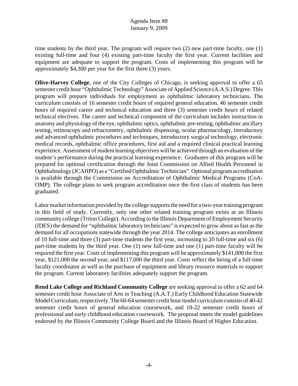time students by the third year. The program will require two (2) new part-time faculty, one (1) existing full-time and four (4) existing part-time faculty the first year. Current facilities and equipment are adequate to support the program. Costs of implementing this program will be approximately \$4,300 per year for the first three (3) years.

**Olive-Harvey College**, one of the City Colleges of Chicago, is seeking approval to offer a 65 semester credit hour "Ophthalmic Technology" Associate of Applied Science (A.A.S.) Degree. This program will prepare individuals for employment as ophthalmic laboratory technicians. The curriculum consists of 16 semester credit hours of required general education, 46 semester credit hours of required career and technical education and three (3) semester credit hours of related technical electives. The career and technical component of the curriculum includes instruction in anatomy and physiology of the eye, ophthalmic optics, ophthalmic pre-testing, ophthalmic ancillary testing, retinoscopy and refractometry, ophthalmic dispensing, ocular pharmacology, introductory and advanced ophthalmic procedures and techniques, introductory surgical technology, electronic medical records, ophthalmic office procedures, first aid and a required clinical practical learning experience. Assessment of student learning objectives will be achieved through an evaluation of the student's performance during the practical learning experience. Graduates of this program will be prepared for optional certification through the Joint Commission on Allied Health Personnel in Ophthalmalogy (JCAHPO) as a "Certified Ophthalmic Technician". Optional program accreditation is available through the Commission on Accreditation of Ophthalmic Medical Programs (CoA-OMP). The college plans to seek program accreditation once the first class of students has been graduated.

Labor market information provided by the college supports the need for a two-year training program in this field of study. Currently, only one other related training program exists at an Illinois community college (Triton College). According to the Illinois Department of Employment Security (IDES) the demand for "ophthalmic laboratory technicians" is expected to grow about as fast as the demand for all occupations statewide through the year 2014. The college anticipates an enrollment of 10 full-time and three (3) part-time students the first year, increasing to 20 full-time and six (6) part-time students by the third year. One (1) new full-time and one (1) part-time faculty will be required the first year. Costs of implementing this program will be approximately \$141,000 the first year, \$121,000 the second year, and \$117,000 the third year. Costs reflect the hiring of a full-time faculty coordinator as well as the purchase of equipment and library resource materials to support the program. Current laboratory facilities adequately support the program.

**Rend Lake College and Richland Community College** are seeking approval to offer a 62 and 64 semester credit hour Associate of Arts in Teaching (A.A.T.) Early Childhood Education Statewide Model Curriculum, respectively. The 60-64 semester credit hour model curriculum consists of 40-42 semester credit hours of general education coursework, and 18-22 semester credit hours of professional and early childhood education coursework. The proposal meets the model guidelines endorsed by the Illinois Community College Board and the Illinois Board of Higher Education.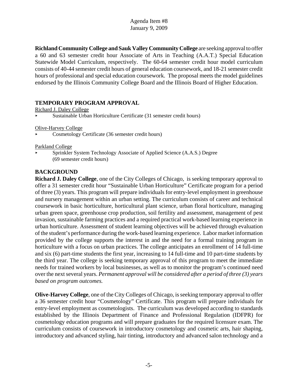**Richland Community College and Sauk Valley Community College** are seeking approval to offer a 60 and 63 semester credit hour Associate of Arts in Teaching (A.A.T.) Special Education Statewide Model Curriculum, respectively. The 60-64 semester credit hour model curriculum consists of 40-44 semester credit hours of general education coursework, and 18-21 semester credit hours of professional and special education coursework. The proposal meets the model guidelines endorsed by the Illinois Community College Board and the Illinois Board of Higher Education.

## **TEMPORARY PROGRAM APPROVAL**

Richard J. Daley College

< Sustainable Urban Horticulture Certificate (31 semester credit hours)

Olive-Harvey College

< Cosmetology Certificate (36 semester credit hours)

#### Parkland College

Sprinkler System Technology Associate of Applied Science (A.A.S.) Degree (69 semester credit hours)

## **BACKGROUND**

**Richard J. Daley College**, one of the City Colleges of Chicago, is seeking temporary approval to offer a 31 semester credit hour "Sustainable Urban Horticulture" Certificate program for a period of three (3) years. This program will prepare individuals for entry-level employment in greenhouse and nursery management within an urban setting. The curriculum consists of career and technical coursework in basic horticulture, horticultural plant science, urban floral horticulture, managing urban green space, greenhouse crop production, soil fertility and assessment, management of pest invasion, sustainable farming practices and a required practical work-based learning experience in urban horticulture. Assessment of student learning objectives will be achieved through evaluation of the student's performance during the work-based learning experience. Labor market information provided by the college supports the interest in and the need for a formal training program in horticulture with a focus on urban practices. The college anticipates an enrollment of 14 full-time and six (6) part-time students the first year, increasing to 14 full-time and 10 part-time students by the third year. The college is seeking temporary approval of this program to meet the immediate needs for trained workers by local businesses, as well as to monitor the program's continued need over the next several years. *Permanent approval will be considered after a period of three (3) years based on program outcomes.* 

**Olive-Harvey College**, one of the City Colleges of Chicago, is seeking temporary approval to offer a 36 semester credit hour "Cosmetology" Certificate. This program will prepare individuals for entry-level employment as cosmetologists. The curriculum was developed according to standards established by the Illinois Department of Finance and Professional Regulation (IDFPR) for cosmetology education programs and will prepare graduates for the required licensure exam. The curriculum consists of coursework in introductory cosmetology and cosmetic arts, hair shaping, introductory and advanced styling, hair tinting, introductory and advanced salon technology and a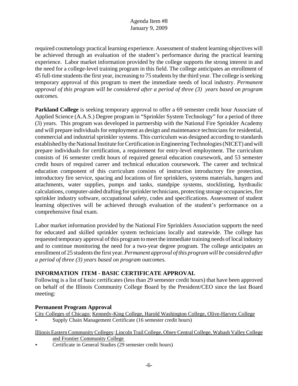required cosmetology practical learning experience. Assessment of student learning objectives will be achieved through an evaluation of the student's performance during the practical learning experience. Labor market information provided by the college supports the strong interest in and the need for a college-level training program in this field. The college anticipates an enrollment of 45 full-time students the first year, increasing to 75 students by the third year. The college is seeking temporary approval of this program to meet the immediate needs of local industry. *Permanent approval of this program will be considered after a period of three (3) years based on program outcomes.*

**Parkland College** is seeking temporary approval to offer a 69 semester credit hour Associate of Applied Science (A.A.S.) Degree program in "Sprinkler System Technology" for a period of three (3) years. This program was developed in partnership with the National Fire Sprinkler Academy and will prepare individuals for employment as design and maintenance technicians for residential, commercial and industrial sprinkler systems. This curriculum was designed according to standards established by the National Institute for Certification in Engineering Technologies (NICET) and will prepare individuals for certification, a requirement for entry-level employment. The curriculum consists of 16 semester credit hours of required general education coursework, and 53 semester credit hours of required career and technical education coursework. The career and technical education component of this curriculum consists of instruction introductory fire protection, introductory fire service, spacing and locations of fire sprinklers, systems materials, hangers and attachments, water supplies, pumps and tanks, standpipe systems, stocklisting, hyrdraulic calculations, computer-aided drafting for sprinkler technicians, protecting storage occupancies, fire sprinkler industry software, occupational safety, codes and specifications. Assessment of student learning objectives will be achieved through evaluation of the student's performance on a comprehensive final exam.

Labor market information provided by the National Fire Sprinklers Association supports the need for educated and skilled sprinkler system technicians locally and statewide. The college has requested temporary approval of this program to meet the immediate training needs of local industry and to continue monitoring the need for a two-year degree program. The college anticipates an enrollment of 25 students the first year. *Permanent approval of this program will be considered after a period of three (3) years based on program outcomes.*

## **INFORMATION ITEM - BASIC CERTIFICATE APPROVAL**

Following is a list of basic certificates (less than 29 semester credit hours) that have been approved on behalf of the Illinois Community College Board by the President/CEO since the last Board meeting:

## **Permanent Program Approval**

City Colleges of Chicago: Kennedy-King College, Harold Washington College, Olive-Harvey College < Supply Chain Management Certificate (16 semester credit hours)

- Illinois Eastern Community Colleges: Lincoln Trail College, Olney Central College, Wabash Valley College and Frontier Community College
- < Certificate in General Studies (29 semester credit hours)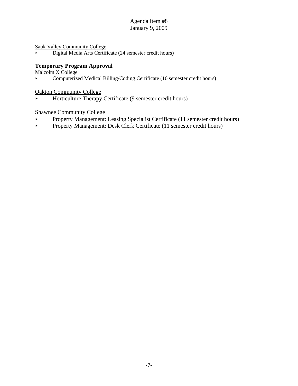Sauk Valley Community College

Digital Media Arts Certificate (24 semester credit hours)

## **Temporary Program Approval**

Malcolm X College

• Computerized Medical Billing/Coding Certificate (10 semester credit hours)

Oakton Community College

 $\blacktriangleright$  Horticulture Therapy Certificate (9 semester credit hours)

Shawnee Community College

- Property Management: Leasing Specialist Certificate (11 semester credit hours)
- Property Management: Desk Clerk Certificate (11 semester credit hours)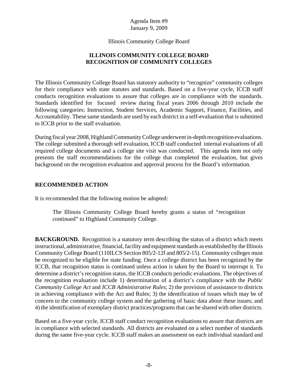Illinois Community College Board

# **ILLINOIS COMMUNITY COLLEGE BOARD RECOGNITION OF COMMUNITY COLLEGES**

The Illinois Community College Board has statutory authority to "recognize" community colleges for their compliance with state statutes and standards. Based on a five-year cycle, ICCB staff conducts recognition evaluations to assure that colleges are in compliance with the standards. Standards identified for focused review during fiscal years 2006 through 2010 include the following categories: Instruction, Student Services, Academic Support, Finance, Facilities, and Accountability. These same standards are used by each district in a self-evaluation that is submitted to ICCB prior to the staff evaluation.

During fiscal year 2008, Highland Community College underwent in-depth recognition evaluations. The college submitted a thorough self evaluation, ICCB staff conducted internal evaluations of all required college documents and a college site visit was conducted. This agenda item not only presents the staff recommendations for the college that completed the evaluation, but gives background on the recognition evaluation and approval process for the Board's information.

# **RECOMMENDED ACTION**

It is recommended that the following motion be adopted:

The Illinois Community College Board hereby grants a status of "recognition continued" to Highland Community College.

**BACKGROUND.** Recognition is a statutory term describing the status of a district which meets instructional, administrative, financial, facility and equipment standards as established by the Illinois Community College Board (110ILCS Section 805/2-12f and 805/2-15). Community colleges must be recognized to be eligible for state funding. Once a college district has been recognized by the ICCB, that recognition status is continued unless action is taken by the Board to interrupt it. To determine a district's recognition status, the ICCB conducts periodic evaluations. The objectives of the recognition evaluation include 1) determination of a district's compliance with the *Public Community College Act* and *ICCB Administrative Rules*; 2) the provision of assistance to districts in achieving compliance with the Act and Rules; 3) the identification of issues which may be of concern to the community college system and the gathering of basic data about these issues; and 4) the identification of exemplary district practices/programs that can be shared with other districts.

Based on a five-year cycle, ICCB staff conduct recognition evaluations to assure that districts are in compliance with selected standards. All districts are evaluated on a select number of standards during the same five-year cycle. ICCB staff makes an assessment on each individual standard and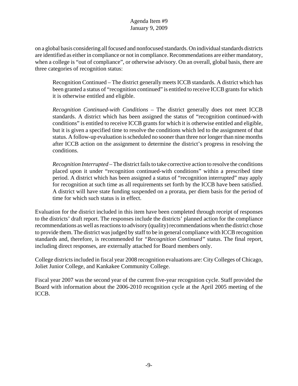on a global basis considering all focused and nonfocused standards. On individual standards districts are identified as either in compliance or not in compliance. Recommendations are either mandatory, when a college is "out of compliance", or otherwise advisory. On an overall, global basis, there are three categories of recognition status:

Recognition Continued – The district generally meets ICCB standards. A district which has been granted a status of "recognition continued" is entitled to receive ICCB grants for which it is otherwise entitled and eligible.

*Recognition Continued-with Conditions* – The district generally does not meet ICCB standards. A district which has been assigned the status of "recognition continued-with conditions" is entitled to receive ICCB grants for which it is otherwise entitled and eligible, but it is given a specified time to resolve the conditions which led to the assignment of that status. A follow-up evaluation is scheduled no sooner than three nor longer than nine months after ICCB action on the assignment to determine the district's progress in resolving the conditions.

*Recognition Interrupted* – The district fails to take corrective action to resolve the conditions placed upon it under "recognition continued-with conditions" within a prescribed time period. A district which has been assigned a status of "recognition interrupted" may apply for recognition at such time as all requirements set forth by the ICCB have been satisfied. A district will have state funding suspended on a prorata, per diem basis for the period of time for which such status is in effect.

Evaluation for the district included in this item have been completed through receipt of responses to the districts' draft report. The responses include the districts' planned action for the compliance recommendations as well as reactions to advisory (quality) recommendations when the district chose to provide them. The district was judged by staff to be in general compliance with ICCB recognition standards and, therefore, is recommended for *"Recognition Continued"* status. The final report, including direct responses, are externally attached for Board members only.

College districts included in fiscal year 2008 recognition evaluations are: City Colleges of Chicago, Joliet Junior College, and Kankakee Community College.

Fiscal year 2007 was the second year of the current five-year recognition cycle. Staff provided the Board with information about the 2006-2010 recognition cycle at the April 2005 meeting of the ICCB.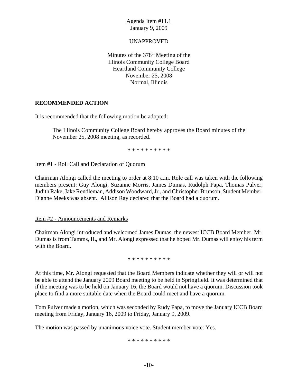## UNAPPROVED

Minutes of the  $378<sup>th</sup>$  Meeting of the Illinois Community College Board Heartland Community College November 25, 2008 Normal, Illinois

## **RECOMMENDED ACTION**

It is recommended that the following motion be adopted:

The Illinois Community College Board hereby approves the Board minutes of the November 25, 2008 meeting, as recorded.

\* \* \* \* \* \* \* \* \* \*

#### Item #1 - Roll Call and Declaration of Quorum

Chairman Alongi called the meeting to order at 8:10 a.m. Role call was taken with the following members present: Guy Alongi, Suzanne Morris, James Dumas, Rudolph Papa, Thomas Pulver, Judith Rake, Jake Rendleman, Addison Woodward, Jr., and Christopher Brunson, Student Member. Dianne Meeks was absent. Allison Ray declared that the Board had a quorum.

Item #2 - Announcements and Remarks

Chairman Alongi introduced and welcomed James Dumas, the newest ICCB Board Member. Mr. Dumas is from Tamms, IL, and Mr. Alongi expressed that he hoped Mr. Dumas will enjoy his term with the Board.

\* \* \* \* \* \* \* \* \*

At this time, Mr. Alongi requested that the Board Members indicate whether they will or will not be able to attend the January 2009 Board meeting to be held in Springfield. It was determined that if the meeting was to be held on January 16, the Board would not have a quorum. Discussion took place to find a more suitable date when the Board could meet and have a quorum.

Tom Pulver made a motion, which was seconded by Rudy Papa, to move the January ICCB Board meeting from Friday, January 16, 2009 to Friday, January 9, 2009.

The motion was passed by unanimous voice vote. Student member vote: Yes.

\* \* \* \* \* \* \* \* \* \*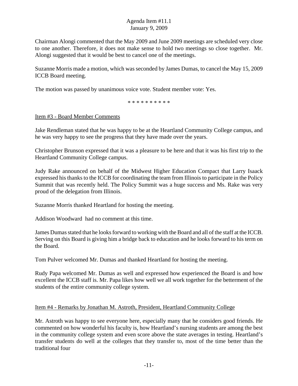Chairman Alongi commented that the May 2009 and June 2009 meetings are scheduled very close to one another. Therefore, it does not make sense to hold two meetings so close together. Mr. Alongi suggested that it would be best to cancel one of the meetings.

Suzanne Morris made a motion, which was seconded by James Dumas, to cancel the May 15, 2009 ICCB Board meeting.

The motion was passed by unanimous voice vote. Student member vote: Yes.

\* \* \* \* \* \* \* \* \* \*

Item #3 - Board Member Comments

Jake Rendleman stated that he was happy to be at the Heartland Community College campus, and he was very happy to see the progress that they have made over the years.

Christopher Brunson expressed that it was a pleasure to be here and that it was his first trip to the Heartland Community College campus.

Judy Rake announced on behalf of the Midwest Higher Education Compact that Larry Isaack expressed his thanks to the ICCB for coordinating the team from Illinois to participate in the Policy Summit that was recently held. The Policy Summit was a huge success and Ms. Rake was very proud of the delegation from Illinois.

Suzanne Morris thanked Heartland for hosting the meeting.

Addison Woodward had no comment at this time.

James Dumas stated that he looks forward to working with the Board and all of the staff at the ICCB. Serving on this Board is giving him a bridge back to education and he looks forward to his term on the Board.

Tom Pulver welcomed Mr. Dumas and thanked Heartland for hosting the meeting.

Rudy Papa welcomed Mr. Dumas as well and expressed how experienced the Board is and how excellent the ICCB staff is. Mr. Papa likes how well we all work together for the betterment of the students of the entire community college system.

## Item #4 - Remarks by Jonathan M. Astroth, President, Heartland Community College

Mr. Astroth was happy to see everyone here, especially many that he considers good friends. He commented on how wonderful his faculty is, how Heartland's nursing students are among the best in the community college system and even score above the state averages in testing. Heartland's transfer students do well at the colleges that they transfer to, most of the time better than the traditional four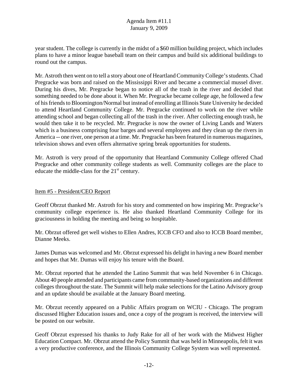year student. The college is currently in the midst of a \$60 million building project, which includes plans to have a minor league baseball team on their campus and build six additional buildings to round out the campus.

Mr. Astroth then went on to tell a story about one of Heartland Community College's students. Chad Pregracke was born and raised on the Mississippi River and became a commercial mussel diver. During his dives, Mr. Pregracke began to notice all of the trash in the river and decided that something needed to be done about it. When Mr. Pregracke became college age, he followed a few of his friends to Bloomington/Normal but instead of enrolling at Illinois State University he decided to attend Heartland Community College. Mr. Pregracke continued to work on the river while attending school and began collecting all of the trash in the river. After collecting enough trash, he would then take it to be recycled. Mr. Pregracke is now the owner of Living Lands and Waters which is a business comprising four barges and several employees and they clean up the rivers in America -- one river, one person at a time. Mr. Pregracke has been featured in numerous magazines, television shows and even offers alternative spring break opportunities for students.

Mr. Astroth is very proud of the opportunity that Heartland Community College offered Chad Pregracke and other community college students as well. Community colleges are the place to educate the middle-class for the 21<sup>st</sup> century.

## Item #5 - President/CEO Report

Geoff Obrzut thanked Mr. Astroth for his story and commented on how inspiring Mr. Pregracke's community college experience is. He also thanked Heartland Community College for its graciousness in holding the meeting and being so hospitable.

Mr. Obrzut offered get well wishes to Ellen Andres, ICCB CFO and also to ICCB Board member, Dianne Meeks.

James Dumas was welcomed and Mr. Obrzut expressed his delight in having a new Board member and hopes that Mr. Dumas will enjoy his tenure with the Board.

Mr. Obrzut reported that he attended the Latino Summit that was held November 6 in Chicago. About 40 people attended and participants came from community-based organizations and different colleges throughout the state. The Summit will help make selections for the Latino Advisory group and an update should be available at the January Board meeting.

Mr. Obrzut recently appeared on a Public Affairs program on WCIU - Chicago. The program discussed Higher Education issues and, once a copy of the program is received, the interview will be posted on our website.

Geoff Obrzut expressed his thanks to Judy Rake for all of her work with the Midwest Higher Education Compact. Mr. Obrzut attend the Policy Summit that was held in Minneapolis, felt it was a very productive conference, and the Illinois Community College System was well represented.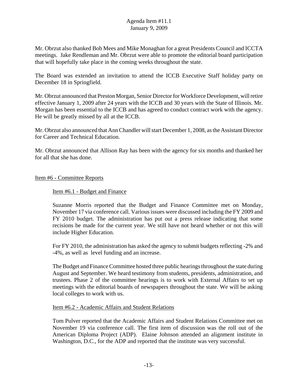Mr. Obrzut also thanked Bob Mees and Mike Monaghan for a great Presidents Council and ICCTA meetings. Jake Rendleman and Mr. Obrzut were able to promote the editorial board participation that will hopefully take place in the coming weeks throughout the state.

The Board was extended an invitation to attend the ICCB Executive Staff holiday party on December 18 in Springfield.

Mr. Obrzut announced that Preston Morgan, Senior Director for Workforce Development, will retire effective January 1, 2009 after 24 years with the ICCB and 30 years with the State of Illinois. Mr. Morgan has been essential to the ICCB and has agreed to conduct contract work with the agency. He will be greatly missed by all at the ICCB.

Mr. Obrzut also announced that Ann Chandler will start December 1, 2008, as the Assistant Director for Career and Technical Education.

Mr. Obrzut announced that Allison Ray has been with the agency for six months and thanked her for all that she has done.

## Item #6 - Committee Reports

## Item #6.1 - Budget and Finance

Suzanne Morris reported that the Budget and Finance Committee met on Monday, November 17 via conference call. Various issues were discussed including the FY 2009 and FY 2010 budget. The administration has put out a press release indicating that some recisions be made for the current year. We still have not heard whether or not this will include Higher Education.

For FY 2010, the administration has asked the agency to submit budgets reflecting -2% and -4%, as well as level funding and an increase.

The Budget and Finance Committee hosted three public hearings throughout the state during August and September. We heard testimony from students, presidents, administration, and trustees. Phase 2 of the committee hearings is to work with External Affairs to set up meetings with the editorial boards of newspapers throughout the state. We will be asking local colleges to work with us.

#### Item #6.2 - Academic Affairs and Student Relations

Tom Pulver reported that the Academic Affairs and Student Relations Committee met on November 19 via conference call. The first item of discussion was the roll out of the American Diploma Project (ADP). Elaine Johnson attended an alignment institute in Washington, D.C., for the ADP and reported that the institute was very successful.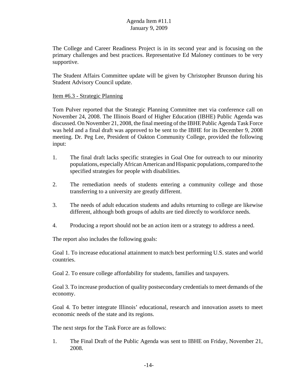The College and Career Readiness Project is in its second year and is focusing on the primary challenges and best practices. Representative Ed Maloney continues to be very supportive.

The Student Affairs Committee update will be given by Christopher Brunson during his Student Advisory Council update.

## Item #6.3 - Strategic Planning

Tom Pulver reported that the Strategic Planning Committee met via conference call on November 24, 2008. The Illinois Board of Higher Education (IBHE) Public Agenda was discussed. On November 21, 2008, the final meeting of the IBHE Public Agenda Task Force was held and a final draft was approved to be sent to the IBHE for its December 9, 2008 meeting. Dr. Peg Lee, President of Oakton Community College, provided the following input:

- 1. The final draft lacks specific strategies in Goal One for outreach to our minority populations, especially African American and Hispanic populations, compared to the specified strategies for people with disabilities.
- 2. The remediation needs of students entering a community college and those transferring to a university are greatly different.
- 3. The needs of adult education students and adults returning to college are likewise different, although both groups of adults are tied directly to workforce needs.
- 4. Producing a report should not be an action item or a strategy to address a need.

The report also includes the following goals:

Goal 1. To increase educational attainment to match best performing U.S. states and world countries.

Goal 2. To ensure college affordability for students, families and taxpayers.

Goal 3. To increase production of quality postsecondary credentials to meet demands of the economy.

Goal 4. To better integrate Illinois' educational, research and innovation assets to meet economic needs of the state and its regions.

The next steps for the Task Force are as follows:

1. The Final Draft of the Public Agenda was sent to IBHE on Friday, November 21, 2008.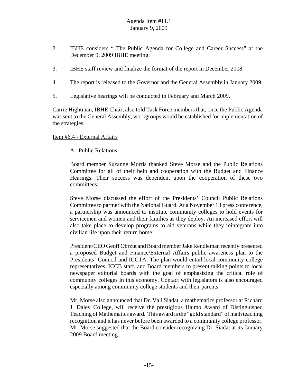- 2. IBHE considers " The Public Agenda for College and Career Success" at the December 9, 2009 IBHE meeting.
- 3. IBHE staff review and finalize the format of the report in December 2008.
- 4. The report is released to the Governor and the General Assembly in January 2009.
- 5. Legislative hearings will be conducted in February and March 2009.

Carrie Hightman, IBHE Chair, also told Task Force members that, once the Public Agenda was sent to the General Assembly, workgroups would be established for implementation of the strategies.

## Item #6.4 - External Affairs

# A. Public Relations

Board member Suzanne Morris thanked Steve Morse and the Public Relations Committee for all of their help and cooperation with the Budget and Finance Hearings. Their success was dependent upon the cooperation of these two committees.

Steve Morse discussed the effort of the Presidents' Council Public Relations Committee to partner with the National Guard. At a November 13 press conference, a partnership was announced to institute community colleges to hold events for servicemen and women and their families as they deploy. An increased effort will also take place to develop programs to aid veterans while they reintegrate into civilian life upon their return home.

President/CEO Geoff Obrzut and Board member Jake Rendleman recently presented a proposed Budget and Finance/External Affairs public awareness plan to the Presidents' Council and ICCTA. The plan would entail local community college representatives, ICCB staff, and Board members to present talking points to local newspaper editorial boards with the goal of emphasizing the critical role of community colleges in this economy. Contact with legislators is also encouraged especially among community college students and their parents.

Mr. Morse also announced that Dr. Vali Siadat, a mathematics professor at Richard J. Daley College, will receive the prestigious Haimo Award of Distinguished Teaching of Mathematics award. This award is the "gold standard" of math teaching recognition and it has never before been awarded to a community college professor. Mr. Morse suggested that the Board consider recognizing Dr. Siadat at its January 2009 Board meeting.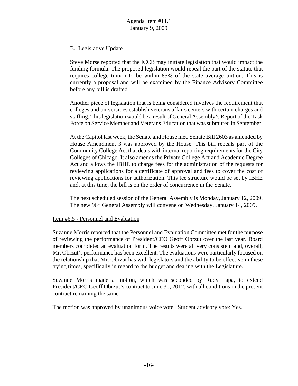# B. Legislative Update

Steve Morse reported that the ICCB may initiate legislation that would impact the funding formula. The proposed legislation would repeal the part of the statute that requires college tuition to be within 85% of the state average tuition. This is currently a proposal and will be examined by the Finance Advisory Committee before any bill is drafted.

Another piece of legislation that is being considered involves the requirement that colleges and universities establish veterans affairs centers with certain charges and staffing. This legislation would be a result of General Assembly's Report of the Task Force on Service Member and Veterans Education that was submitted in September.

At the Capitol last week, the Senate and House met. Senate Bill 2603 as amended by House Amendment 3 was approved by the House. This bill repeals part of the Community College Act that deals with internal reporting requirements for the City Colleges of Chicago. It also amends the Private College Act and Academic Degree Act and allows the IBHE to charge fees for the administration of the requests for reviewing applications for a certificate of approval and fees to cover the cost of reviewing applications for authorization. This fee structure would be set by IBHE and, at this time, the bill is on the order of concurrence in the Senate.

The next scheduled session of the General Assembly is Monday, January 12, 2009. The new 96<sup>th</sup> General Assembly will convene on Wednesday, January 14, 2009.

## Item #6.5 - Personnel and Evaluation

Suzanne Morris reported that the Personnel and Evaluation Committee met for the purpose of reviewing the performance of President/CEO Geoff Obrzut over the last year. Board members completed an evaluation form. The results were all very consistent and, overall, Mr. Obrzut's performance has been excellent. The evaluations were particularly focused on the relationship that Mr. Obrzut has with legislators and the ability to be effective in these trying times, specifically in regard to the budget and dealing with the Legislature.

Suzanne Morris made a motion, which was seconded by Rudy Papa, to extend President/CEO Geoff Obrzut's contract to June 30, 2012, with all conditions in the present contract remaining the same.

The motion was approved by unanimous voice vote. Student advisory vote: Yes.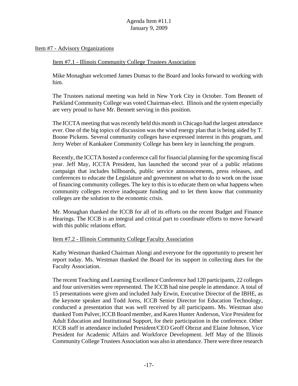#### Item #7 - Advisory Organizations

#### Item #7.1 - Illinois Community College Trustees Association

Mike Monaghan welcomed James Dumas to the Board and looks forward to working with him.

The Trustees national meeting was held in New York City in October. Tom Bennett of Parkland Community College was voted Chairman-elect. Illinois and the system especially are very proud to have Mr. Bennett serving in this position.

The ICCTA meeting that was recently held this month in Chicago had the largest attendance ever. One of the big topics of discussion was the wind energy plan that is being aided by T. Boone Pickens. Several community colleges have expressed interest in this program, and Jerry Weber of Kankakee Community College has been key in launching the program.

Recently, the ICCTA hosted a conference call for financial planning for the upcoming fiscal year. Jeff May, ICCTA President, has launched the second year of a public relations campaign that includes billboards, public service announcements, press releases, and conferences to educate the Legislature and government on what to do to work on the issue of financing community colleges. The key to this is to educate them on what happens when community colleges receive inadequate funding and to let them know that community colleges are the solution to the economic crisis.

Mr. Monaghan thanked the ICCB for all of its efforts on the recent Budget and Finance Hearings. The ICCB is an integral and critical part to coordinate efforts to move forward with this public relations effort.

#### Item #7.2 - Illinois Community College Faculty Association

Kathy Westman thanked Chairman Alongi and everyone for the opportunity to present her report today. Ms. Westman thanked the Board for its support in collecting dues for the Faculty Association.

The recent Teaching and Learning Excellence Conference had 120 participants, 22 colleges and four universities were represented. The ICCB had nine people in attendance. A total of 15 presentations were given and included Judy Erwin, Executive Director of the IBHE, as the keynote speaker and Todd Jorns, ICCB Senior Director for Education Technology, conducted a presentation that was well received by all participants. Ms. Westman also thanked Tom Pulver, ICCB Board member, and Karen Hunter Anderson, Vice President for Adult Education and Institutional Support, for their participation in the conference. Other ICCB staff in attendance included President/CEO Geoff Obrzut and Elaine Johnson, Vice President for Academic Affairs and Workforce Development. Jeff May of the Illinois Community College Trustees Association was also in attendance. There were three research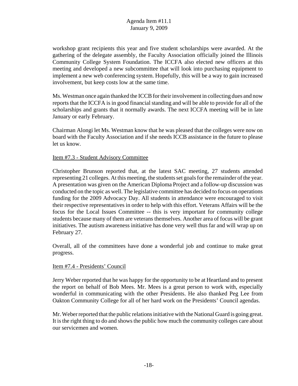workshop grant recipients this year and five student scholarships were awarded. At the gathering of the delegate assembly, the Faculty Association officially joined the Illinois Community College System Foundation. The ICCFA also elected new officers at this meeting and developed a new subcommittee that will look into purchasing equipment to implement a new web conferencing system. Hopefully, this will be a way to gain increased involvement, but keep costs low at the same time.

Ms. Westman once again thanked the ICCB for their involvement in collecting dues and now reports that the ICCFA is in good financial standing and will be able to provide for all of the scholarships and grants that it normally awards. The next ICCFA meeting will be in late January or early February.

Chairman Alongi let Ms. Westman know that he was pleased that the colleges were now on board with the Faculty Association and if she needs ICCB assistance in the future to please let us know.

## Item #7.3 - Student Advisory Committee

Christopher Brunson reported that, at the latest SAC meeting, 27 students attended representing 21 colleges. At this meeting, the students set goals for the remainder of the year. A presentation was given on the American Diploma Project and a follow-up discussion was conducted on the topic as well. The legislative committee has decided to focus on operations funding for the 2009 Advocacy Day. All students in attendance were encouraged to visit their respective representatives in order to help with this effort. Veterans Affairs will be the focus for the Local Issues Committee -- this is very important for community college students because many of them are veterans themselves. Another area of focus will be grant initiatives. The autism awareness initiative has done very well thus far and will wrap up on February 27.

Overall, all of the committees have done a wonderful job and continue to make great progress.

#### Item #7.4 - Presidents' Council

Jerry Weber reported that he was happy for the opportunity to be at Heartland and to present the report on behalf of Bob Mees. Mr. Mees is a great person to work with, especially wonderful in communicating with the other Presidents. He also thanked Peg Lee from Oakton Community College for all of her hard work on the Presidents' Council agendas.

Mr. Weber reported that the public relations initiative with the National Guard is going great. It is the right thing to do and shows the public how much the community colleges care about our servicemen and women.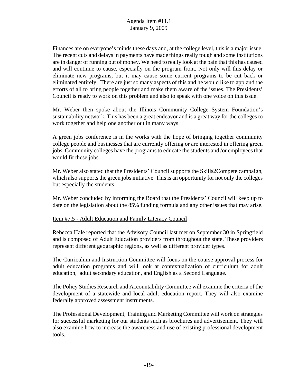Finances are on everyone's minds these days and, at the college level, this is a major issue. The recent cuts and delays in payments have made things really tough and some institutions are in danger of running out of money. We need to really look at the pain that this has caused and will continue to cause, especially on the program front. Not only will this delay or eliminate new programs, but it may cause some current programs to be cut back or eliminated entirely. There are just so many aspects of this and he would like to applaud the efforts of all to bring people together and make them aware of the issues. The Presidents' Council is ready to work on this problem and also to speak with one voice on this issue.

Mr. Weber then spoke about the Illinois Community College System Foundation's sustainability network. This has been a great endeavor and is a great way for the colleges to work together and help one another out in many ways.

A green jobs conference is in the works with the hope of bringing together community college people and businesses that are currently offering or are interested in offering green jobs. Community colleges have the programs to educate the students and /or employees that would fit these jobs.

Mr. Weber also stated that the Presidents' Council supports the Skills2Compete campaign, which also supports the green jobs initiative. This is an opportunity for not only the colleges but especially the students.

Mr. Weber concluded by informing the Board that the Presidents' Council will keep up to date on the legislation about the 85% funding formula and any other issues that may arise.

## Item #7.5 - Adult Education and Family Literacy Council

Rebecca Hale reported that the Advisory Council last met on September 30 in Springfield and is composed of Adult Education providers from throughout the state. These providers represent different geographic regions, as well as different provider types.

The Curriculum and Instruction Committee will focus on the course approval process for adult education programs and will look at contextualization of curriculum for adult education, adult secondary education, and English as a Second Language.

The Policy Studies Research and Accountability Committee will examine the criteria of the development of a statewide and local adult education report. They will also examine federally approved assessment instruments.

The Professional Development, Training and Marketing Committee will work on strategies for successful marketing for our students such as brochures and advertisement. They will also examine how to increase the awareness and use of existing professional development tools.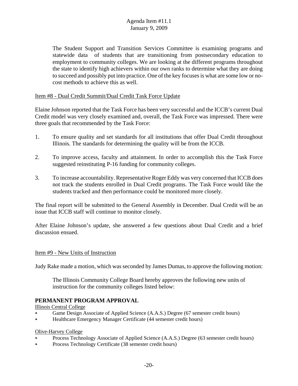The Student Support and Transition Services Committee is examining programs and statewide data of students that are transitioning from postsecondary education to employment to community colleges. We are looking at the different programs throughout the state to identify high achievers within our own ranks to determine what they are doing to succeed and possibly put into practice. One of the key focuses is what are some low or nocost methods to achieve this as well.

## Item #8 - Dual Credit Summit/Dual Credit Task Force Update

Elaine Johnson reported that the Task Force has been very successful and the ICCB's current Dual Credit model was very closely examined and, overall, the Task Force was impressed. There were three goals that recommended by the Task Force:

- 1. To ensure quality and set standards for all institutions that offer Dual Credit throughout Illinois. The standards for determining the quality will be from the ICCB.
- 2. To improve access, faculty and attainment. In order to accomplish this the Task Force suggested reinstituting P-16 funding for community colleges.
- 3. To increase accountability. Representative Roger Eddy was very concerned that ICCB does not track the students enrolled in Dual Credit programs. The Task Force would like the students tracked and then performance could be monitored more closely.

The final report will be submitted to the General Assembly in December. Dual Credit will be an issue that ICCB staff will continue to monitor closely.

After Elaine Johnson's update, she answered a few questions about Dual Credit and a brief discussion ensued.

#### Item #9 - New Units of Instruction

Judy Rake made a motion, which was seconded by James Dumas, to approve the following motion:

The Illinois Community College Board hereby approves the following new units of instruction for the community colleges listed below:

## **PERMANENT PROGRAM APPROVAL**

Illinois Central College

- < Game Design Associate of Applied Science (A.A.S.) Degree (67 semester credit hours)
- < Healthcare Emergency Manager Certificate (44 semester credit hours)

#### Olive-Harvey College

- Process Technology Associate of Applied Science (A.A.S.) Degree (63 semester credit hours)
- < Process Technology Certificate (38 semester credit hours)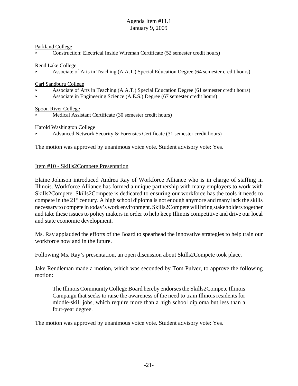#### Parkland College

< Construction: Electrical Inside Wireman Certificate (52 semester credit hours)

Rend Lake College

< Associate of Arts in Teaching (A.A.T.) Special Education Degree (64 semester credit hours)

Carl Sandburg College

- < Associate of Arts in Teaching (A.A.T.) Special Education Degree (61 semester credit hours)
- < Associate in Engineering Science (A.E.S.) Degree (67 semester credit hours)

## Spoon River College

Medical Assistant Certificate (30 semester credit hours)

Harold Washington College

Advanced Network Security & Forensics Certificate (31 semester credit hours)

The motion was approved by unanimous voice vote. Student advisory vote: Yes.

## Item #10 - Skills2Compete Presentation

Elaine Johnson introduced Andrea Ray of Workforce Alliance who is in charge of staffing in Illinois. Workforce Alliance has formed a unique partnership with many employers to work with Skills2Compete. Skills2Compete is dedicated to ensuring our workforce has the tools it needs to compete in the  $21<sup>st</sup>$  century. A high school diploma is not enough anymore and many lack the skills necessary to compete in today's work environment. Skills2Compete will bring stakeholders together and take these issues to policy makers in order to help keep Illinois competitive and drive our local and state economic development.

Ms. Ray applauded the efforts of the Board to spearhead the innovative strategies to help train our workforce now and in the future.

Following Ms. Ray's presentation, an open discussion about Skills2Compete took place.

Jake Rendleman made a motion, which was seconded by Tom Pulver, to approve the following motion:

The Illinois Community College Board hereby endorses the Skills2Compete Illinois Campaign that seeks to raise the awareness of the need to train Illinois residents for middle-skill jobs, which require more than a high school diploma but less than a four-year degree.

The motion was approved by unanimous voice vote. Student advisory vote: Yes.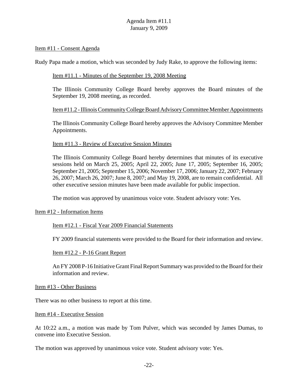#### Item #11 - Consent Agenda

Rudy Papa made a motion, which was seconded by Judy Rake, to approve the following items:

#### Item #11.1 - Minutes of the September 19, 2008 Meeting

The Illinois Community College Board hereby approves the Board minutes of the September 19, 2008 meeting, as recorded.

## Item #11.2 - Illinois Community College Board Advisory Committee Member Appointments

The Illinois Community College Board hereby approves the Advisory Committee Member Appointments.

## Item #11.3 - Review of Executive Session Minutes

The Illinois Community College Board hereby determines that minutes of its executive sessions held on March 25, 2005; April 22, 2005; June 17, 2005; September 16, 2005; September 21, 2005; September 15, 2006; November 17, 2006; January 22, 2007; February 26, 2007; March 26, 2007; June 8, 2007; and May 19, 2008, are to remain confidential. All other executive session minutes have been made available for public inspection.

The motion was approved by unanimous voice vote. Student advisory vote: Yes.

#### Item #12 - Information Items

Item #12.1 - Fiscal Year 2009 Financial Statements

FY 2009 financial statements were provided to the Board for their information and review.

#### Item #12.2 - P-16 Grant Report

An FY 2008 P-16 Initiative Grant Final Report Summary was provided to the Board for their information and review.

#### Item #13 - Other Business

There was no other business to report at this time.

#### Item #14 - Executive Session

At 10:22 a.m., a motion was made by Tom Pulver, which was seconded by James Dumas, to convene into Executive Session.

The motion was approved by unanimous voice vote. Student advisory vote: Yes.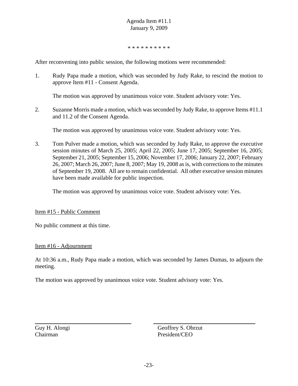\* \* \* \* \* \* \* \* \* \*

After reconvening into public session, the following motions were recommended:

1. Rudy Papa made a motion, which was seconded by Judy Rake, to rescind the motion to approve Item #11 - Consent Agenda.

The motion was approved by unanimous voice vote. Student advisory vote: Yes.

2. Suzanne Morris made a motion, which was seconded by Judy Rake, to approve Items #11.1 and 11.2 of the Consent Agenda.

The motion was approved by unanimous voice vote. Student advisory vote: Yes.

3. Tom Pulver made a motion, which was seconded by Judy Rake, to approve the executive session minutes of March 25, 2005; April 22, 2005; June 17, 2005; September 16, 2005; September 21, 2005; September 15, 2006; November 17, 2006; January 22, 2007; February 26, 2007; March 26, 2007; June 8, 2007; May 19, 2008 as is, with corrections to the minutes of September 19, 2008. All are to remain confidential. All other executive session minutes have been made available for public inspection.

The motion was approved by unanimous voice vote. Student advisory vote: Yes.

#### Item #15 - Public Comment

No public comment at this time.

#### Item #16 - Adjournment

At 10:36 a.m., Rudy Papa made a motion, which was seconded by James Dumas, to adjourn the meeting.

The motion was approved by unanimous voice vote. Student advisory vote: Yes.

Guy H. Alongi Geoffrey S. Obrzut Chairman President/CEO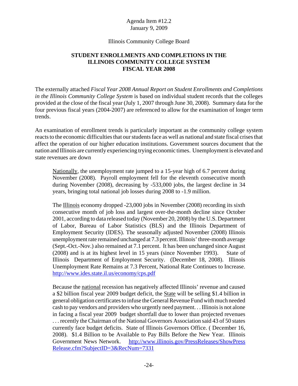#### Illinois Community College Board

# **STUDENT ENROLLMENTS AND COMPLETIONS IN THE ILLINOIS COMMUNITY COLLEGE SYSTEM FISCAL YEAR 2008**

The externally attached *Fiscal Year 2008 Annual Report on Student Enrollments and Completions in the Illinois Community College System* is based on individual student records that the colleges provided at the close of the fiscal year (July 1, 2007 through June 30, 2008). Summary data for the four previous fiscal years (2004-2007) are referenced to allow for the examination of longer term trends.

An examination of enrollment trends is particularly important as the community college system reacts to the economic difficulties that our students face as well as national and state fiscal crises that affect the operation of our higher education institutions. Government sources document that the nation and Illinois are currently experiencing trying economic times. Unemployment is elevated and state revenues are down

Nationally, the unemployment rate jumped to a 15-year high of 6.7 percent during November (2008). Payroll employment fell for the eleventh consecutive month during November (2008), decreasing by -533,000 jobs, the largest decline in 34 years, bringing total national job losses during 2008 to -1.9 million.

The Illinois economy dropped -23,000 jobs in November (2008) recording its sixth consecutive month of job loss and largest over-the-month decline since October 2001, according to data released today (November 20, 2008) by the U.S. Department of Labor, Bureau of Labor Statistics (BLS) and the Illinois Department of Employment Security (IDES). The seasonally adjusted November (2008) Illinois unemployment rate remained unchanged at 7.3 percent. Illinois' three-month average (Sept.-Oct.-Nov.) also remained at 7.1 percent. It has been unchanged since August (2008) and is at its highest level in 15 years (since November 1993). State of Illinois Department of Employment Security. (December 18, 2008). Illinois Unemployment Rate Remains at 7.3 Percent, National Rate Continues to Increase. http://www.ides.state.il.us/economy/cps.pdf

Because the national recession has negatively affected Illinois' revenue and caused a \$2 billion fiscal year 2009 budget deficit, the State will be selling \$1.4 billion in general obligation certificates to infuse the General Revenue Fund with much needed cash to pay vendors and providers who urgently need payment. . . Illinois is not alone in facing a fiscal year 2009 budget shortfall due to lower than projected revenues . . . recently the Chairman of the National Governors Association said 43 of 50 states currently face budget deficits. State of Illinois Governors Office. ( December 16, 2008). \$1.4 Billion to be Available to Pay Bills Before the New Year. Illinois Government News Network. http://www.illinois.gov/PressReleases/ShowPress Release.cfm?SubjectID=3&RecNum=7331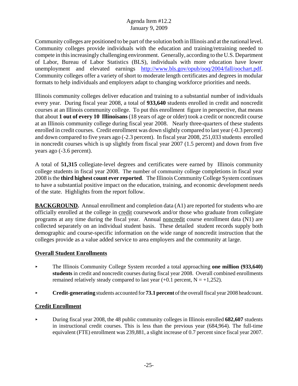Community colleges are positioned to be part of the solution both in Illinois and at the national level. Community colleges provide individuals with the education and training/retraining needed to compete in this increasingly challenging environment. Generally, according to the U.S. Department of Labor, Bureau of Labor Statistics (BLS), individuals with more education have lower unemployment and elevated earnings http://www.bls.gov/opub/ooq/2004/fall/oochart.pdf. Community colleges offer a variety of short to moderate length certificates and degrees in modular formats to help individuals and employers adapt to changing workforce priorities and needs.

Illinois community colleges deliver education and training to a substantial number of individuals every year. During fiscal year 2008, a total of **933,640** students enrolled in credit and noncredit courses at an Illinois community college. To put this enrollment figure in perspective, that means that about **1 out of every 10 Illinoisans** (18 years of age or older) took a credit or noncredit course at an Illinois community college during fiscal year 2008. Nearly three-quarters of these students enrolled in credit courses. Credit enrollment was down slightly compared to last year (-0.3 percent) and down compared to five years ago (-2.3 percent). In fiscal year 2008, 251,033 students enrolled in noncredit courses which is up slightly from fiscal year 2007 (1.5 percent) and down from five years ago (-3.6 percent).

A total of **51,315** collegiate-level degrees and certificates were earned by Illinois community college students in fiscal year 2008. The number of community college completions in fiscal year 2008 is the **third highest count ever reported**. The Illinois Community College System continues to have a substantial positive impact on the education, training, and economic development needs of the state. Highlights from the report follow.

**BACKGROUND.** Annual enrollment and completion data (A1) are reported for students who are officially enrolled at the college in credit coursework and/or those who graduate from collegiate programs at any time during the fiscal year. Annual noncredit course enrollment data (N1) are collected separately on an individual student basis. These detailed student records supply both demographic and course-specific information on the wide range of noncredit instruction that the colleges provide as a value added service to area employers and the community at large.

## **Overall Student Enrollments**

- ★ The Illinois Community College System recorded a total approaching **one million (933,640) students** in credit and noncredit courses during fiscal year 2008. Overall combined enrollments remained relatively steady compared to last year  $(+0.1$  percent,  $N = +1,252$ ).
- < **Credit-generating** students accounted for **73.1 percent** of the overall fiscal year 2008 headcount.

## **Credit Enrollment**

< During fiscal year 2008, the 48 public community colleges in Illinois enrolled **682,607** students in instructional credit courses. This is less than the previous year (684,964). The full-time equivalent (FTE) enrollment was 239,881, a slight increase of 0.7 percent since fiscal year 2007.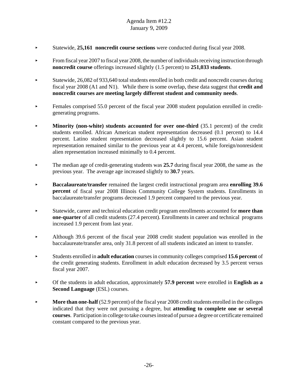- < Statewide, **25,161 noncredit course sections** were conducted during fiscal year 2008.
- From fiscal year 2007 to fiscal year 2008, the number of individuals receiving instruction through **noncredit course** offerings increased slightly (1.5 percent) to **251,033 students**.
- < Statewide, 26,082 of 933,640 total students enrolled in both credit and noncredit courses during fiscal year 2008 (A1 and N1). While there is some overlap, these data suggest that **credit and noncredit courses are meeting largely different student and community needs**.
- Females comprised 55.0 percent of the fiscal year 2008 student population enrolled in creditgenerating programs.
- **Minority (non-white) students accounted for over one-third (35.1 percent) of the credit** students enrolled. African American student representation decreased (0.1 percent) to 14.4 percent. Latino student representation decreased slightly to 15.6 percent. Asian student representation remained similar to the previous year at 4.4 percent, while foreign/nonresident alien representation increased minimally to 0.4 percent.
- ► The median age of credit-generating students was 25.7 during fiscal year 2008, the same as the previous year. The average age increased slightly to **30.7** years.
- < **Baccalaureate/transfer** remained the largest credit instructional program area **enrolling 39.6 percent** of fiscal year 2008 Illinois Community College System students. Enrollments in baccalaureate/transfer programs decreased 1.9 percent compared to the previous year.
- < Statewide, career and technical education credit program enrollments accounted for **more than one-quarter** of all credit students (27.4 percent). Enrollments in career and technical programs increased 1.9 percent from last year.
- < Although 39.6 percent of the fiscal year 2008 credit student population was enrolled in the baccalaureate/transfer area, only 31.8 percent of all students indicated an intent to transfer.
- < Students enrolled in **adult education** courses in community colleges comprised **15.6 percent** of the credit generating students. Enrollment in adult education decreased by 3.5 percent versus fiscal year 2007.
- < Of the students in adult education, approximately **57.9 percent** were enrolled in **English as a Second Language** (ESL) courses.
- **More than one-half** (52.9 percent) of the fiscal year 2008 credit students enrolled in the colleges indicated that they were not pursuing a degree, but **attending to complete one or several courses**. Participation in college to take courses instead of pursue a degree or certificate remained constant compared to the previous year.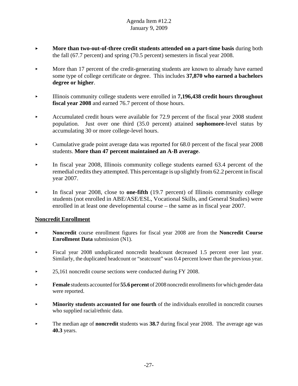- **More than two-out-of-three credit students attended on a part-time basis during both** the fall (67.7 percent) and spring (70.5 percent) semesters in fiscal year 2008.
- More than 17 percent of the credit-generating students are known to already have earned some type of college certificate or degree. This includes **37,870 who earned a bachelors degree or higher**.
- < Illinois community college students were enrolled in **7,196,438 credit hours throughout fiscal year 2008** and earned 76.7 percent of those hours.
- Accumulated credit hours were available for 72.9 percent of the fiscal year 2008 student population. Just over one third (35.0 percent) attained **sophomore**-level status by accumulating 30 or more college-level hours.
- $\blacktriangleright$  Cumulative grade point average data was reported for 68.0 percent of the fiscal year 2008 students. **More than 47 percent maintained an A-B average**.
- In fiscal year 2008, Illinois community college students earned 63.4 percent of the remedial credits they attempted. This percentage is up slightly from 62.2 percent in fiscal year 2007.
- In fiscal year 2008, close to **one-fifth** (19.7 percent) of Illinois community college students (not enrolled in ABE/ASE/ESL, Vocational Skills, and General Studies) were enrolled in at least one developmental course – the same as in fiscal year 2007.

## **Noncredit Enrollment**

- < **Noncredit** course enrollment figures for fiscal year 2008 are from the **Noncredit Course Enrollment Data** submission (N1).
- < Fiscal year 2008 unduplicated noncredit headcount decreased 1.5 percent over last year. Similarly, the duplicated headcount or "seatcount" was 0.4 percent lower than the previous year.
- $\blacktriangleright$  25,161 noncredit course sections were conducted during FY 2008.
- **Female** students accounted for **55.6 percent** of 2008 noncredit enrollments for which gender data were reported.
- **Minority students accounted for one fourth** of the individuals enrolled in noncredit courses who supplied racial/ethnic data.
- **Example 1** The median age of **noncredit** students was **38.7** during fiscal year 2008. The average age was **40.3** years.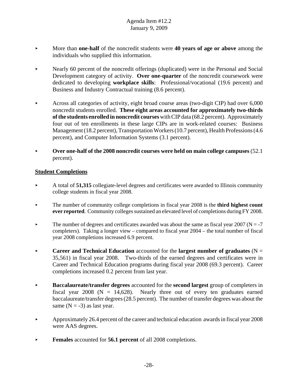- < More than **one-half** of the noncredit students were **40 years of age or above** among the individuals who supplied this information.
- < Nearly 60 percent of the noncredit offerings (duplicated) were in the Personal and Social Development category of activity. **Over one-quarter** of the noncredit coursework were dedicated to developing **workplace skills**: Professional/vocational (19.6 percent) and Business and Industry Contractual training (8.6 percent).
- Across all categories of activity, eight broad course areas (two-digit CIP) had over  $6,000$ noncredit students enrolled. **These eight areas accounted for approximately two-thirds of the students enrolled in noncredit courses** with CIP data (68.2 percent). Approximately four out of ten enrollments in these large CIPs are in work-related courses: Business Management (18.2 percent), Transportation Workers (10.7 percent), Health Professions (4.6 percent), and Computer Information Systems (3.1 percent).
- **Over one-half of the 2008 noncredit courses were held on main college campuses** (52.1) percent).

## **Student Completions**

- < A total of **51,315** collegiate-level degrees and certificates were awarded to Illinois community college students in fiscal year 2008.
- < The number of community college completions in fiscal year 2008 is the **third highest count ever reported**. Community colleges sustained an elevated level of completions during FY 2008.
- $\blacktriangleright$  The number of degrees and certificates awarded was about the same as fiscal year 2007 (N = -7 completers). Taking a longer view – compared to fiscal year 2004 – the total number of fiscal year 2008 completions increased 6.9 percent.
- **Career and Technical Education** accounted for the **largest number of graduates**  $(N =$ 35,561) in fiscal year 2008. Two-thirds of the earned degrees and certificates were in Career and Technical Education programs during fiscal year 2008 (69.3 percent). Career completions increased 0.2 percent from last year.
- < **Baccalaureate/transfer degrees** accounted for the **second largest** group of completers in fiscal year 2008 ( $N = 14,628$ ). Nearly three out of every ten graduates earned baccalaureate/transfer degrees (28.5 percent). The number of transfer degrees was about the same  $(N = -3)$  as last year.
- $\blacktriangleright$  Approximately 26.4 percent of the career and technical education awards in fiscal year 2008 were AAS degrees.
- **Females** accounted for **56.1 percent** of all 2008 completions.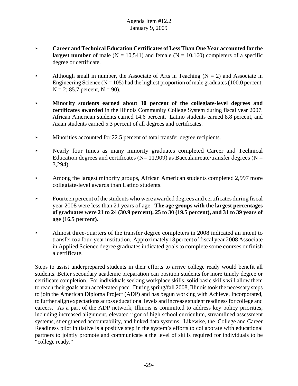- **EXECUTE:** Career and Technical Education Certificates of Less Than One Year accounted for the **largest number** of male ( $N = 10,541$ ) and female ( $N = 10,160$ ) completers of a specific degree or certificate.
- Although small in number, the Associate of Arts in Teaching  $(N = 2)$  and Associate in Engineering Science ( $N = 105$ ) had the highest proportion of male graduates (100.0 percent,  $N = 2$ ; 85.7 percent,  $N = 90$ ).
- < **Minority students earned about 30 percent of the collegiate-level degrees and certificates awarded** in the Illinois Community College System during fiscal year 2007. African American students earned 14.6 percent, Latino students earned 8.8 percent, and Asian students earned 5.3 percent of all degrees and certificates.
- $\blacktriangleright$  Minorities accounted for 22.5 percent of total transfer degree recipients.
- < Nearly four times as many minority graduates completed Career and Technical Education degrees and certificates ( $N= 11,909$ ) as Baccalaureate/transfer degrees ( $N =$ 3,294).
- Among the largest minority groups, African American students completed  $2,997$  more collegiate-level awards than Latino students.
- $\blacktriangleright$  Fourteen percent of the students who were awarded degrees and certificates during fiscal year 2008 were less than 21 years of age. **The age groups with the largest percentages of graduates were 21 to 24 (30.9 percent), 25 to 30 (19.5 percent), and 31 to 39 years of age (16.5 percent).**
- < Almost three-quarters of the transfer degree completers in 2008 indicated an intent to transfer to a four-year institution. Approximately 18 percent of fiscal year 2008 Associate in Applied Science degree graduates indicated goals to complete some courses or finish a certificate.

Steps to assist underprepared students in their efforts to arrive college ready would benefit all students. Better secondary academic preparation can position students for more timely degree or certificate completion. For individuals seeking workplace skills, solid basic skills will allow them to reach their goals at an accelerated pace. During spring/fall 2008, Illinois took the necessary steps to join the American Diploma Project (ADP) and has begun working with Achieve, Incorporated, to further align expectations across educational levels and increase student readiness for college and careers. As a part of the ADP network, Illinois is committed to address key policy priorities, including increased alignment, elevated rigor of high school curriculum, streamlined assessment systems, strengthened accountability, and linked data systems. Likewise, the College and Career Readiness pilot initiative is a positive step in the system's efforts to collaborate with educational partners to jointly promote and communicate a the level of skills required for individuals to be "college ready."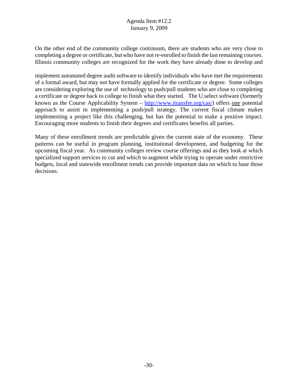On the other end of the community college continuum, there are students who are very close to completing a degree or certificate, but who have not re-enrolled to finish the last remaining courses. Illinois community colleges are recognized for the work they have already done to develop and

implement automated degree audit software to identify individuals who have met the requirements of a formal award, but may not have formally applied for the certificate or degree. Some colleges are considering exploring the use of technology to push/pull students who are close to completing a certificate or degree back to college to finish what they started. The U.select software (formerly known as the Course Applicability System  $-\frac{http://www.itransfer.org/cas/}{http://www.itransfer.org/cas/})$  offers one potential approach to assist in implementing a push/pull strategy. The current fiscal climate makes implementing a project like this challenging, but has the potential to make a positive impact. Encouraging more students to finish their degrees and certificates benefits all parties.

Many of these enrollment trends are predictable given the current state of the economy. These patterns can be useful in program planning, institutional development, and budgeting for the upcoming fiscal year. As community colleges review course offerings and as they look at which specialized support services to cut and which to augment while trying to operate under restrictive budgets, local and statewide enrollment trends can provide important data on which to base those decisions.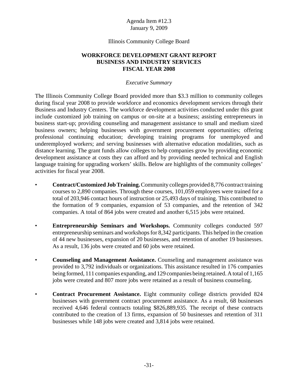#### Illinois Community College Board

## **WORKFORCE DEVELOPMENT GRANT REPORT BUSINESS AND INDUSTRY SERVICES FISCAL YEAR 2008**

#### *Executive Summary*

The Illinois Community College Board provided more than \$3.3 million to community colleges during fiscal year 2008 to provide workforce and economics development services through their Business and Industry Centers. The workforce development activities conducted under this grant include customized job training on campus or on-site at a business; assisting entrepreneurs in business start-up; providing counseling and management assistance to small and medium sized business owners; helping businesses with government procurement opportunities; offering professional continuing education; developing training programs for unemployed and underemployed workers; and serving businesses with alternative education modalities, such as distance learning. The grant funds allow colleges to help companies grow by providing economic development assistance at costs they can afford and by providing needed technical and English language training for upgrading workers' skills. Below are highlights of the community colleges' activities for fiscal year 2008.

- **Contract/Customized Job Training.** Community colleges provided 8,776 contract training courses to 2,890 companies. Through these courses, 101,059 employees were trained for a total of 203,946 contact hours of instruction or 25,493 days of training. This contributed to the formation of 9 companies, expansion of 53 companies, and the retention of 342 companies. A total of 864 jobs were created and another 6,515 jobs were retained.
- **Entrepreneurship Seminars and Workshops.** Community colleges conducted 597 entrepreneurship seminars and workshops for 8,342 participants. This helped in the creation of 44 new businesses, expansion of 20 businesses, and retention of another 19 businesses. As a result, 136 jobs were created and 60 jobs were retained.
- **Counseling and Management Assistance.** Counseling and management assistance was provided to 3,792 individuals or organizations. This assistance resulted in 176 companies being formed, 111 companies expanding, and 129 companies being retained. A total of 1,165 jobs were created and 807 more jobs were retained as a result of business counseling.
- **Contract Procurement Assistance.** Eight community college districts provided 824 businesses with government contract procurement assistance. As a result, 68 businesses received 4,646 federal contracts totaling \$826,889,935. The receipt of these contracts contributed to the creation of 13 firms, expansion of 50 businesses and retention of 311 businesses while 148 jobs were created and 3,814 jobs were retained.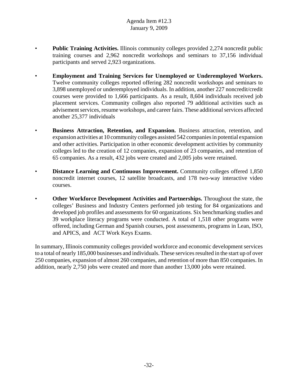- **Public Training Activities.** Illinois community colleges provided 2,274 noncredit public training courses and 2,962 noncredit workshops and seminars to 37,156 individual participants and served 2,923 organizations.
- **Employment and Training Services for Unemployed or Underemployed Workers.** Twelve community colleges reported offering 282 noncredit workshops and seminars to 3,898 unemployed or underemployed individuals. In addition, another 227 noncredit/credit courses were provided to 1,666 participants. As a result, 8,604 individuals received job placement services. Community colleges also reported 79 additional activities such as advisement services, resume workshops, and career fairs. These additional services affected another 25,377 individuals
- **Business Attraction, Retention, and Expansion.** Business attraction, retention, and expansion activities at 10 community colleges assisted 542 companies in potential expansion and other activities. Participation in other economic development activities by community colleges led to the creation of 12 companies, expansion of 23 companies, and retention of 65 companies. As a result, 432 jobs were created and 2,005 jobs were retained.
- **Distance Learning and Continuous Improvement.** Community colleges offered 1,850 noncredit internet courses, 12 satellite broadcasts, and 178 two-way interactive video courses.
- **Other Workforce Development Activities and Partnerships.** Throughout the state, the colleges' Business and Industry Centers performed job testing for 84 organizations and developed job profiles and assessments for 60 organizations. Six benchmarking studies and 39 workplace literacy programs were conducted. A total of 1,518 other programs were offered, including German and Spanish courses, post assessments, programs in Lean, ISO, and APICS, and ACT Work Keys Exams.

In summary, Illinois community colleges provided workforce and economic development services to a total of nearly 185,000 businesses and individuals. These services resulted in the start up of over 250 companies, expansion of almost 260 companies, and retention of more than 850 companies. In addition, nearly 2,750 jobs were created and more than another 13,000 jobs were retained.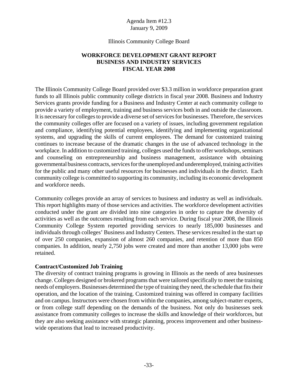#### Illinois Community College Board

# **WORKFORCE DEVELOPMENT GRANT REPORT BUSINESS AND INDUSTRY SERVICES FISCAL YEAR 2008**

The Illinois Community College Board provided over \$3.3 million in workforce preparation grant funds to all Illinois public community college districts in fiscal year 2008. Business and Industry Services grants provide funding for a Business and Industry Center at each community college to provide a variety of employment, training and business services both in and outside the classroom. It is necessary for colleges to provide a diverse set of services for businesses. Therefore, the services the community colleges offer are focused on a variety of issues, including government regulation and compliance, identifying potential employees, identifying and implementing organizational systems, and upgrading the skills of current employees. The demand for customized training continues to increase because of the dramatic changes in the use of advanced technology in the workplace. In addition to customized training, colleges used the funds to offer workshops, seminars and counseling on entrepreneurship and business management, assistance with obtaining governmental business contracts, services for the unemployed and underemployed, training activities for the public and many other useful resources for businesses and individuals in the district. Each community college is committed to supporting its community, including its economic development and workforce needs.

Community colleges provide an array of services to business and industry as well as individuals. This report highlights many of those services and activities. The workforce development activities conducted under the grant are divided into nine categories in order to capture the diversity of activities as well as the outcomes resulting from each service. During fiscal year 2008, the Illinois Community College System reported providing services to nearly 185,000 businesses and individuals through colleges' Business and Industry Centers. These services resulted in the start up of over 250 companies, expansion of almost 260 companies, and retention of more than 850 companies. In addition, nearly 2,750 jobs were created and more than another 13,000 jobs were retained.

#### **Contract/Customized Job Training**

The diversity of contract training programs is growing in Illinois as the needs of area businesses change. Colleges designed or brokered programs that were tailored specifically to meet the training needs of employers. Businesses determined the type of training they need, the schedule that fits their operation, and the location of the training. Customized training was offered in company facilities and on campus. Instructors were chosen from within the companies, among subject-matter experts, or from college staff depending on the demands of the business. Not only do businesses seek assistance from community colleges to increase the skills and knowledge of their workforces, but they are also seeking assistance with strategic planning, process improvement and other businesswide operations that lead to increased productivity.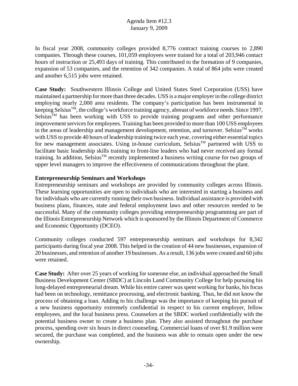In fiscal year 2008, community colleges provided 8,776 contract training courses to 2,890 companies. Through these courses, 101,059 employees were trained for a total of 203,946 contact hours of instruction or 25,493 days of training. This contributed to the formation of 9 companies, expansion of 53 companies, and the retention of 342 companies. A total of 864 jobs were created and another 6,515 jobs were retained.

**Case Study:** Southwestern Illinois College and United States Steel Corporation (USS) have maintained a partnership for more than three decades. USS is a major employer in the college district employing nearly 2,000 area residents. The company's participation has been instrumental in keeping Selsius<sup>TM</sup>, the college's workforce training agency, abreast of workforce needs. Since 1997,  $Selsius<sup>TM</sup>$  has been working with USS to provide training programs and other performance improvement services for employees. Training has been provided to more than 100 USS employees in the areas of leadership and management development, retention, and turnover. Selsius<sup>TM</sup> works with USS to provide 40 hours of leadership training twice each year, covering either essential topics for new management associates. Using in-house curriculum, Selsius<sup>TM</sup> partnered with USS to facilitate basic leadership skills training to front-line leaders who had never received any formal training. In addition, SelsiusTM recently implemented a business writing course for two groups of upper level managers to improve the effectiveness of communications throughout the plant.

# **Entrepreneurship Seminars and Workshops**

Entrepreneurship seminars and workshops are provided by community colleges across Illinois. These learning opportunities are open to individuals who are interested in starting a business and for individuals who are currently running their own business. Individual assistance is provided with business plans, finances, state and federal employment laws and other resources needed to be successful. Many of the community colleges providing entrepreneurship programming are part of the Illinois Entrepreneurship Network which is sponsored by the Illinois Department of Commerce and Economic Opportunity (DCEO).

Community colleges conducted 597 entrepreneurship seminars and workshops for 8,342 participants during fiscal year 2008. This helped in the creation of 44 new businesses, expansion of 20 businesses, and retention of another 19 businesses. As a result, 136 jobs were created and 60 jobs were retained.

**Case Study:** After over 25 years of working for someone else, an individual approached the Small Business Development Center (SBDC) at Lincoln Land Community College for help pursuing his long-delayed entrepreneurial dream. While his entire career was spent working for banks, his focus had been on technology, remittance processing, and electronic banking. Thus, he did not know the process of obtaining a loan. Adding to his challenge was the importance of keeping his pursuit of a new business opportunity extremely confidential in respect to his current employer, fellow employees, and the local business press. Counselors at the SBDC worked confidentially with the potential business owner to create a business plan. They also assisted throughout the purchase process, spending over six hours in direct counseling. Commercial loans of over \$1.9 million were secured, the purchase was completed, and the business was able to remain open under the new ownership.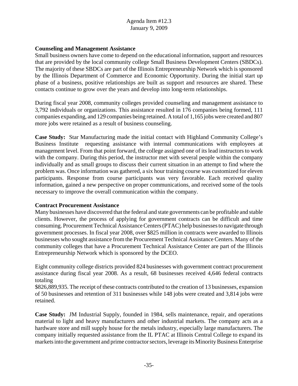## **Counseling and Management Assistance**

Small business owners have come to depend on the educational information, support and resources that are provided by the local community college Small Business Development Centers (SBDCs). The majority of these SBDCs are part of the Illinois Entrepreneurship Network which is sponsored by the Illinois Department of Commerce and Economic Opportunity. During the initial start up phase of a business, positive relationships are built as support and resources are shared. These contacts continue to grow over the years and develop into long-term relationships.

During fiscal year 2008, community colleges provided counseling and management assistance to 3,792 individuals or organizations. This assistance resulted in 176 companies being formed, 111 companies expanding, and 129 companies being retained. A total of 1,165 jobs were created and 807 more jobs were retained as a result of business counseling.

**Case Study:** Star Manufacturing made the initial contact with Highland Community College's Business Institute requesting assistance with internal communications with employees at management level. From that point forward, the college assigned one of its lead instructors to work with the company. During this period, the instructor met with several people within the company individually and as small groups to discuss their current situation in an attempt to find where the problem was. Once information was gathered, a six hour training course was customized for eleven participants. Response from course participants was very favorable. Each received quality information, gained a new perspective on proper communications, and received some of the tools necessary to improve the overall communication within the company.

#### **Contract Procurement Assistance**

Many businesses have discovered that the federal and state governments can be profitable and stable clients. However, the process of applying for government contracts can be difficult and time consuming. Procurement Technical Assistance Centers (PTAC) help businesses to navigate through government processes. In fiscal year 2008, over \$825 million in contracts were awarded to Illinois businesses who sought assistance from the Procurement Technical Assistance Centers. Many of the community colleges that have a Procurement Technical Assistance Center are part of the Illinois Entrepreneurship Network which is sponsored by the DCEO.

Eight community college districts provided 824 businesses with government contract procurement assistance during fiscal year 2008. As a result, 68 businesses received 4,646 federal contracts totaling

\$826,889,935. The receipt of these contracts contributed to the creation of 13 businesses, expansion of 50 businesses and retention of 311 businesses while 148 jobs were created and 3,814 jobs were retained.

**Case Study:** JM Industrial Supply, founded in 1984, sells maintenance, repair, and operations material to light and heavy manufacturers and other industrial markets. The company acts as a hardware store and mill supply house for the metals industry, especially large manufacturers. The company initially requested assistance from the IL PTAC at Illinois Central College to expand its markets into the government and prime contractor sectors, leverage its Minority Business Enterprise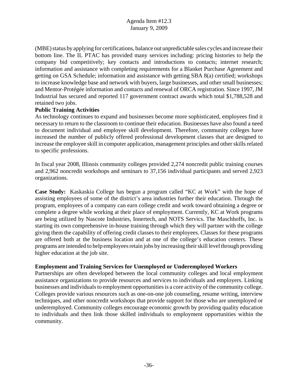(MBE) status by applying for certifications, balance out unpredictable sales cycles and increase their bottom line. The IL PTAC has provided many services including: pricing histories to help the company bid competitively; key contacts and introductions to contacts; internet research; information and assistance with completing requirements for a Blanket Purchase Agreement and getting on GSA Schedule; information and assistance with getting SBA 8(a) certified; workshops to increase knowledge base and network with buyers, large businesses, and other small businesses; and Mentor-Protégée information and contacts and renewal of ORCA registration. Since 1997, JM Industrial has secured and reported 117 government contract awards which total \$1,788,528 and retained two jobs.

## **Public Training Activities**

As technology continues to expand and businesses become more sophisticated, employees find it necessary to return to the classroom to continue their education. Businesses have also found a need to document individual and employee skill development. Therefore, community colleges have increased the number of publicly offered professional development classes that are designed to increase the employee skill in computer application, management principles and other skills related to specific professions.

In fiscal year 2008, Illinois community colleges provided 2,274 noncredit public training courses and 2,962 noncredit workshops and seminars to 37,156 individual participants and served 2,923 organizations.

**Case Study:** Kaskaskia College has begun a program called "KC at Work" with the hope of assisting employees of some of the district's area industries further their education. Through the program, employees of a company can earn college credit and work toward obtaining a degree or complete a degree while working at their place of employment. Currently, KC at Work programs are being utilized by Nascote Industries, Innertech, and NOTS Servics. The Maschhoffs, Inc. is starting its own comprehensive in-house training through which they will partner with the college giving them the capability of offering credit classes to their employees. Classes for these programs are offered both at the business location and at one of the college's education centers. These programs are intended to help employees retain jobs by increasing their skill level through providing higher education at the job site.

#### **Employment and Training Services for Unemployed or Underemployed Workers**

Partnerships are often developed between the local community colleges and local employment assistance organizations to provide resources and services to individuals and employers. Linking businesses and individuals to employment opportunities is a core activity of the community college. Colleges provide various resources such as one-on-one job counseling, resume writing, interview techniques, and other noncredit workshops that provide support for those who are unemployed or underemployed. Community colleges encourage economic growth by providing quality education to individuals and then link those skilled individuals to employment opportunities within the community.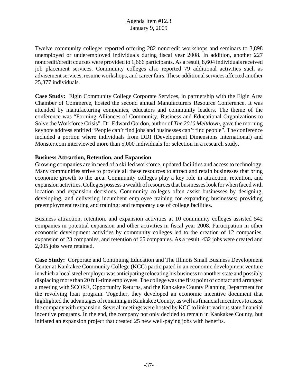Twelve community colleges reported offering 282 noncredit workshops and seminars to 3,898 unemployed or underemployed individuals during fiscal year 2008. In addition, another 227 noncredit/credit courses were provided to 1,666 participants. As a result, 8,604 individuals received job placement services. Community colleges also reported 79 additional activities such as advisement services, resume workshops, and career fairs. These additional services affected another 25,377 individuals.

**Case Study:** Elgin Community College Corporate Services, in partnership with the Elgin Area Chamber of Commerce, hosted the second annual Manufacturers Resource Conference. It was attended by manufacturing companies, educators and community leaders. The theme of the conference was "Forming Alliances of Community, Business and Educational Organizations to Solve the Workforce Crisis". Dr. Edward Gordon, author of *The 2010 Meltdown*, gave the morning keynote address entitled "People can't find jobs and businesses can't find people". The conference included a portion where individuals from DDI (Development Dimensions International) and Monster.com interviewed more than 5,000 individuals for selection in a research study.

## **Business Attraction, Retention, and Expansion**

Growing companies are in need of a skilled workforce, updated facilities and access to technology. Many communities strive to provide all these resources to attract and retain businesses that bring economic growth to the area. Community colleges play a key role in attraction, retention, and expansion activities. Colleges possess a wealth of resources that businesses look for when faced with location and expansion decisions. Community colleges often assist businesses by designing, developing, and delivering incumbent employee training for expanding businesses; providing preemployment testing and training; and temporary use of college facilities.

Business attraction, retention, and expansion activities at 10 community colleges assisted 542 companies in potential expansion and other activities in fiscal year 2008. Participation in other economic development activities by community colleges led to the creation of 12 companies, expansion of 23 companies, and retention of 65 companies. As a result, 432 jobs were created and 2,005 jobs were retained.

**Case Study:** Corporate and Continuing Education and The Illinois Small Business Development Center at Kankakee Community College (KCC) participated in an economic development venture in which a local steel employer was anticipating relocating his business to another state and possibly displacing more than 20 full-time employees. The college was the first point of contact and arranged a meeting with SCORE, Opportunity Returns, and the Kankakee County Planning Department for the revolving loan program. Together, they developed an economic incentive document that highlighted the advantages of remaining in Kankakee County, as well as financial incentives to assist the company with expansion. Several meetings were hosted by KCC to link to various state financial incentive programs. In the end, the company not only decided to remain in Kankakee County, but initiated an expansion project that created 25 new well-paying jobs with benefits.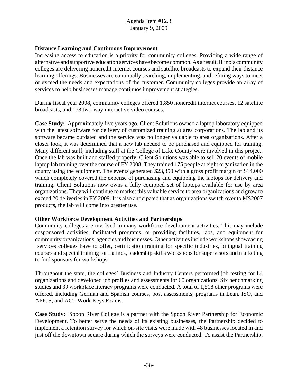# **Distance Learning and Continuous Improvement**

Increasing access to education is a priority for community colleges. Providing a wide range of alternative and supportive education services have become common. As a result, Illinois community colleges are delivering noncredit internet courses and satellite broadcasts to expand their distance learning offerings. Businesses are continually searching, implementing, and refining ways to meet or exceed the needs and expectations of the customer. Community colleges provide an array of services to help businesses manage continuos improvement strategies.

During fiscal year 2008, community colleges offered 1,850 noncredit internet courses, 12 satellite broadcasts, and 178 two-way interactive video courses.

**Case Study:** Approximately five years ago, Client Solutions owned a laptop laboratory equipped with the latest software for delivery of customized training at area corporations. The lab and its software became outdated and the service was no longer valuable to area organizations. After a closer look, it was determined that a new lab needed to be purchased and equipped for training. Many different staff, including staff at the College of Lake County were involved in this project. Once the lab was built and staffed properly, Client Solutions was able to sell 20 events of mobile laptop lab training over the course of FY 2008. They trained 175 people at eight organization in the county using the equipment. The events generated \$23,350 with a gross profit margin of \$14,000 which completely covered the expense of purchasing and equipping the laptops for delivery and training. Client Solutions now owns a fully equipped set of laptops available for use by area organizations. They will continue to market this valuable service to area organizations and grow to exceed 20 deliveries in FY 2009. It is also anticipated that as organizations switch over to MS2007 products, the lab will come into greater use.

## **Other Workforce Development Activities and Partnerships**

Community colleges are involved in many workforce development activities. This may include cosponsored activities, facilitated programs, or providing facilities, labs, and equipment for community organizations, agencies and businesses. Other activities include workshops showcasing services colleges have to offer, certification training for specific industries, bilingual training courses and special training for Latinos, leadership skills workshops for supervisors and marketing to find sponsors for workshops.

Throughout the state, the colleges' Business and Industry Centers performed job testing for 84 organizations and developed job profiles and assessments for 60 organizations. Six benchmarking studies and 39 workplace literacy programs were conducted. A total of 1,518 other programs were offered, including German and Spanish courses, post assessments, programs in Lean, ISO, and APICS, and ACT Work Keys Exams.

**Case Study:** Spoon River College is a partner with the Spoon River Partnership for Economic Development. To better serve the needs of its existing businesses, the Partnership decided to implement a retention survey for which on-site visits were made with 48 businesses located in and just off the downtown square during which the surveys were conducted. To assist the Partnership,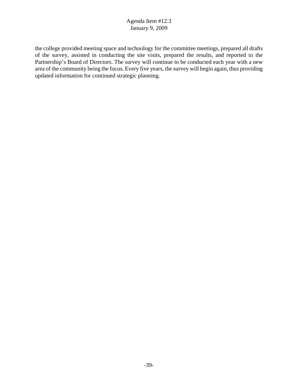the college provided meeting space and technology for the committee meetings, prepared all drafts of the survey, assisted in conducting the site visits, prepared the results, and reported to the Partnership's Board of Directors. The survey will continue to be conducted each year with a new area of the community being the focus. Every five years, the survey will begin again, thus providing updated information for continued strategic planning.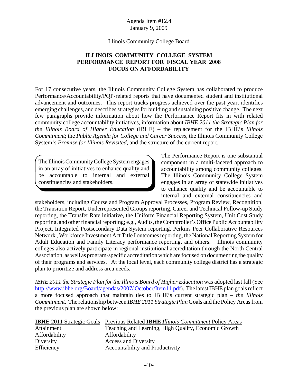#### Illinois Community College Board

# **ILLINOIS COMMUNITY COLLEGE SYSTEM PERFORMANCE REPORT FOR FISCAL YEAR 2008 FOCUS ON AFFORDABILITY**

For 17 consecutive years, the Illinois Community College System has collaborated to produce Performance/Accountability/PQP-related reports that have documented student and institutional advancement and outcomes. This report tracks progress achieved over the past year, identifies emerging challenges, and describes strategies for building and sustaining positive change. The next few paragraphs provide information about how the Performance Report fits in with related community college accountability initiatives, information about *IBHE 2011 the Strategic Plan for the Illinois Board of Higher Education* (IBHE) – the replacement for the IBHE's *Illinois Commitment*; the *Public Agenda for College and Career Success*, the Illinois Community College System's *Promise for Illinois Revisited*, and the structure of the current report.

The Illinois Community College System engages in an array of initiatives to enhance quality and be accountable to internal and external constituencies and stakeholders.

The Performance Report is one substantial component in a multi-faceted approach to accountability among community colleges. The Illinois Community College System engages in an array of statewide initiatives to enhance quality and be accountable to internal and external constituencies and

stakeholders, including Course and Program Approval Processes, Program Review, Recognition, the Transition Report, Underrepresented Groups reporting, Career and Technical Follow-up Study reporting, the Transfer Rate initiative, the Uniform Financial Reporting System, Unit Cost Study reporting, and other financial reporting; e.g., Audits, the Comptroller's Office Public Accountability Project, Integrated Postsecondary Data System reporting, Perkins Peer Collaborative Resources Network , Workforce Investment Act Title I outcomes reporting, the National Reporting System for Adult Education and Family Literacy performance reporting, and others. Illinois community colleges also actively participate in regional institutional accreditation through the North Central Association, as well as program-specific accreditation which are focused on documenting the quality of their programs and services. At the local level, each community college district has a strategic plan to prioritize and address area needs.

*IBHE 2011 the Strategic Plan for the Illinois Board of Higher Education* was adopted last fall (See http://www.ibhe.org/Board/agendas/2007/ October/Item11.pdf). The latest IBHE plan goals reflect a more focused approach that maintain ties to IBHE's current strategic plan – *the Illinois Commitment*. The relationship between *IBHE 2011 Strategic Plan* Goals and the Policy Areas from the previous plan are shown below:

| <b>IBHE</b> 2011 Strategic Goals | Previous Related <b>IBHE</b> Illinois Commitment Policy Areas |
|----------------------------------|---------------------------------------------------------------|
| Attainment                       | Teaching and Learning, High Quality, Economic Growth          |
| Affordability                    | Affordability                                                 |
| Diversity                        | <b>Access and Diversity</b>                                   |
| Efficiency                       | Accountability and Productivity                               |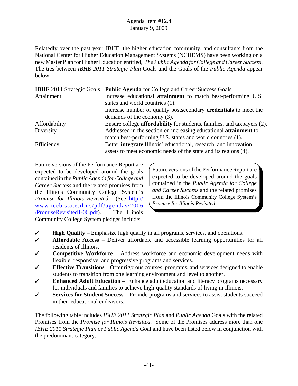Relatedly over the past year, IBHE, the higher education community, and consultants from the National Center for Higher Education Management Systems (NCHEMS) have been working on a new Master Plan for Higher Education entitled, *The Public Agenda for College and Career Success*. The ties between *IBHE 2011 Strategic Plan* Goals and the Goals of the *Public Agenda* appear below:

| <b>IBHE</b> 2011 Strategic Goals | <b>Public Agenda</b> for College and Career Success Goals                      |
|----------------------------------|--------------------------------------------------------------------------------|
| Attainment                       | Increase educational <b>attainment</b> to match best-performing U.S.           |
|                                  | states and world countries (1).                                                |
|                                  | Increase number of quality postsecondary <b>credentials</b> to meet the        |
|                                  | demands of the economy (3).                                                    |
| Affordability                    | Ensure college <b>affordability</b> for students, families, and taxpayers (2). |
| Diversity                        | Addressed in the section on increasing educational attainment to               |
|                                  | match best-performing U.S. states and world countries (1).                     |
| Efficiency                       | Better integrate Illinois' educational, research, and innovation               |
|                                  | assets to meet economic needs of the state and its regions (4).                |

Future versions of the Performance Report are expected to be developed around the goals contained in the *Public Agenda for College and Career Success* and the related promises from the Illinois Community College System's *Promise for Illinois Revisited*. (See http:// www.iccb.state.il.us/pdf/agendas/2006 /PromiseRevisited1-06.pdf). The Illinois Community College System pledges include:

Future versions of the Performance Report are expected to be developed around the goals contained in the *Public Agenda for College and Career Success* and the related promises from the Illinois Community College System's *Promise for Illinois Revisited*.

- T **High Quality**  Emphasize high quality in all programs, services, and operations.
- T **Affordable Access** Deliver affordable and accessible learning opportunities for all residents of Illinois.
- T **Competitive Workforce** Address workforce and economic development needs with flexible, responsive, and progressive programs and services.
- $\checkmark$  **Effective Transitions** Offer rigorous courses, programs, and services designed to enable students to transition from one learning environment and level to another.
- T **Enhanced Adult Education** Enhance adult education and literacy programs necessary for individuals and families to achieve high-quality standards of living in Illinois.
- T **Services for Student Success** Provide programs and services to assist students succeed in their educational endeavors.

The following table includes *IBHE 2011 Strategic Plan* and *Public Agenda* Goals with the related Promises from the *Promise for Illinois Revisited*. Some of the Promises address more than one *IBHE 2011 Strategic Plan* or *Public Agenda* Goal and have been listed below in conjunction with the predominant category.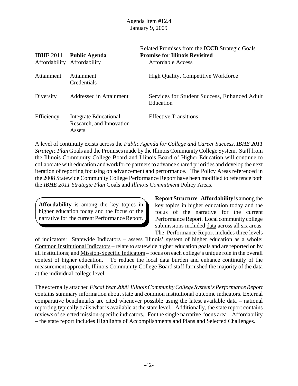| <b>IBHE 2011</b><br>Affordability | <b>Public Agenda</b><br>Affordability                       | Related Promises from the <b>ICCB</b> Strategic Goals<br><b>Promise for Illinois Revisited</b><br><b>Affordable Access</b> |
|-----------------------------------|-------------------------------------------------------------|----------------------------------------------------------------------------------------------------------------------------|
| Attainment                        | Attainment<br>Credentials                                   | <b>High Quality, Competitive Workforce</b>                                                                                 |
| Diversity                         | Addressed in Attainment                                     | Services for Student Success, Enhanced Adult<br>Education                                                                  |
| Efficiency                        | Integrate Educational<br>Research, and Innovation<br>Assets | <b>Effective Transitions</b>                                                                                               |

A level of continuity exists across the *Public Agenda for College and Career Success*, *IBHE 2011 Strategic Plan* Goals and the Promises made by the Illinois Community College System. Staff from the Illinois Community College Board and Illinois Board of Higher Education will continue to collaborate with education and workforce partners to advance shared priorities and develop the next iteration of reporting focusing on advancement and performance. The Policy Areas referenced in the 2008 Statewide Community College Performance Report have been modified to reference both the *IBHE 2011 Strategic Plan* Goals and *Illinois Commitment* Policy Areas.

**Affordability** is among the key topics in higher education today and the focus of the narrative for the current Performance Report.

**Report Structure**. **Affordability** is among the key topics in higher education today and the focus of the narrative for the current Performance Report. Local community college submissions included data across all six areas. The Performance Report includes three levels

of indicators: Statewide Indicators – assess Illinois' system of higher education as a whole; Common Institutional Indicators – relate to statewide higher education goals and are reported on by all institutions; and Mission-Specific Indicators – focus on each college's unique role in the overall context of higher education. To reduce the local data burden and enhance continuity of the measurement approach, Illinois Community College Board staff furnished the majority of the data at the individual college level.

The externally attached *Fiscal Year 2008 Illinois Community College System's Performance Report* contains summary information about state and common institutional outcome indicators. External comparative benchmarks are cited whenever possible using the latest available data – national reporting typically trails what is available at the state level. Additionally, the state report contains reviews of selected mission-specific indicators. For the single narrative focus area – Affordability – the state report includes Highlights of Accomplishments and Plans and Selected Challenges.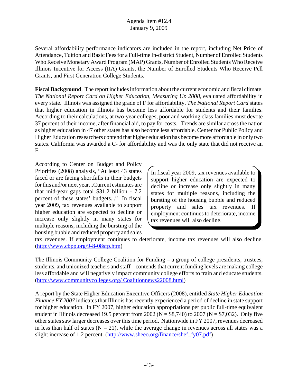Several affordability performance indicators are included in the report, including Net Price of Attendance, Tuition and Basic Fees for a Full-time In-district Student, Number of Enrolled Students Who Receive Monetary Award Program (MAP) Grants, Number of Enrolled Students Who Receive Illinois Incentive for Access (IIA) Grants, the Number of Enrolled Students Who Receive Pell Grants, and First Generation College Students.

**Fiscal Background**. The report includes information about the current economic and fiscal climate. *The National Report Card on Higher Education, Measuring Up 2008*, evaluated affordability in every state. Illinois was assigned the grade of F for affordability. *The National Report Card* states that higher education in Illinois has become less affordable for students and their families. According to their calculations, at two-year colleges, poor and working class families must devote 37 percent of their income, after financial aid, to pay for costs. Trends are similar across the nation as higher education in 47 other states has also become less affordable. Center for Public Policy and Higher Education researchers contend that higher education has become more affordable in only two states. California was awarded a C- for affordability and was the only state that did not receive an F.

According to Center on Budget and Policy Priorities (2008) analysis, "At least 43 states faced or are facing shortfalls in their budgets for this and/or next year...Current estimates are that mid-year gaps total \$31.2 billion - 7.2 percent of these states' budgets..." In fiscal year 2009, tax revenues available to support higher education are expected to decline or increase only slightly in many states for multiple reasons, including the bursting of the housing bubble and reduced property and sales

In fiscal year 2009, tax revenues available to support higher education are expected to decline or increase only slightly in many states for multiple reasons, including the bursting of the housing bubble and reduced property and sales tax revenues. If employment continues to deteriorate, income tax revenues will also decline.

tax revenues. If employment continues to deteriorate, income tax revenues will also decline. (http://www.cbpp.org/9-8-08sfp.htm)

The Illinois Community College Coalition for Funding – a group of college presidents, trustees, students, and unionized teachers and staff – contends that current funding levels are making college less affordable and will negatively impact community college efforts to train and educate students. (http://www.communitycolleges.org/ Coalitionnews22008.html)

A report by the State Higher Education Executive Officers (2008), entitled *State Higher Education Finance FY 2007* indicates that Illinois has recently experienced a period of decline in state support for higher education. In FY 2007, higher education appropriations per public full-time equivalent student in Illinois decreased 19.5 percent from 2002 ( $N = $8,740$ ) to 2007 ( $N = $7,032$ ). Only five other states saw larger decreases over this time period. Nationwide in FY 2007, revenues decreased in less than half of states  $(N = 21)$ , while the average change in revenues across all states was a slight increase of 1.2 percent. (http://www.sheeo.org/finance/shef\_fy07.pdf)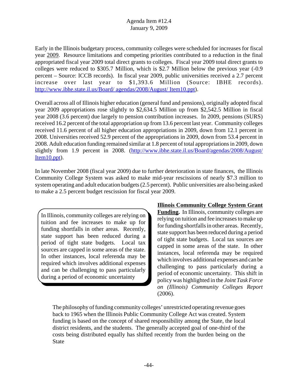Early in the Illinois budgetary process, community colleges were scheduled for increases for fiscal year 2009. Resource limitations and competing priorities contributed to a reduction in the final appropriated fiscal year 2009 total direct grants to colleges. Fiscal year 2009 total direct grants to colleges were reduced to \$305.7 Million, which is \$2.7 Million below the previous year (-0.9 percent – Source: ICCB records). In fiscal year 2009, public universities received a 2.7 percent increase over last year to \$1,393.6 Million (Source: IBHE records). http://www.ibhe.state.il.us/Board/ agendas/2008/August/ Item10.ppt).

Overall across all of Illinois higher education (general fund and pensions), originally adopted fiscal year 2009 appropriations rose slightly to \$2,634.5 Million up from \$2,542.5 Million in fiscal year 2008 (3.6 percent) due largely to pension contribution increases. In 2009, pensions (SURS) received 16.2 percent of the total appropriation up from 13.6 percent last year. Community colleges received 11.6 percent of all higher education appropriations in 2009, down from 12.1 percent in 2008. Universities received 52.9 percent of the appropriations in 2009, down from 53.4 percent in 2008. Adult education funding remained similar at 1.8 percent of total appropriations in 2009, down slightly from 1.9 percent in 2008. (http://www.ibhe.state.il.us/Board/agendas/2008/August/ Item10.ppt).

In late November 2008 (fiscal year 2009) due to further deterioration in state finances, the Illinois Community College System was asked to make mid-year rescissions of nearly \$7.3 million to system operating and adult education budgets (2.5 percent). Public universities are also being asked to make a 2.5 percent budget rescission for fiscal year 2009.

In Illinois, community colleges are relying on tuition and fee increases to make up for funding shortfalls in other areas. Recently, state support has been reduced during a period of tight state budgets. Local tax sources are capped in some areas of the state. In other instances, local referenda may be required which involves additional expenses and can be challenging to pass particularly during a period of economic uncertainty

## **Illinois Community College System Grant Funding.** In Illinois, community colleges are relying on tuition and fee increases to make up for funding shortfalls in other areas. Recently, state support has been reduced during a period of tight state budgets. Local tax sources are capped in some areas of the state. In other instances, local referenda may be required which involves additional expenses and can be challenging to pass particularly during a period of economic uncertainty. This shift in policy was highlighted in the *Joint Task Force on (Illinois) Community Colleges Report* (2006).

The philosophy of funding community colleges' unrestricted operating revenue goes back to 1965 when the Illinois Public Community College Act was created. System funding is based on the concept of shared responsibility among the State, the local district residents, and the students. The generally accepted goal of one-third of the costs being distributed equally has shifted recently from the burden being on the **State**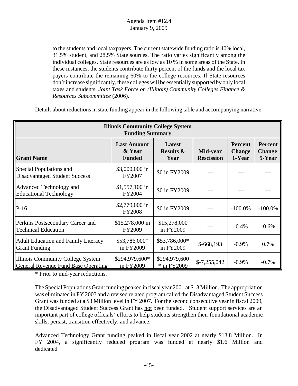to the students and local taxpayers. The current statewide funding ratio is 40% local, 31.5% student, and 28.5% State sources. The ratio varies significantly among the individual colleges. State resources are as low as 10 % in some areas of the State. In these instances, the students contribute thirty percent of the funds and the local tax payers contribute the remaining 60% to the college resources. If State resources don't increase significantly, these colleges will be essentially supported by only local taxes and students. *Joint Task Force on (Illinois) Community Colleges Finance & Resources Subcommittee* (2006).

| <b>Illinois Community College System</b><br><b>Funding Summary</b>                     |                                               |                                        |                               |                                           |                                           |  |  |
|----------------------------------------------------------------------------------------|-----------------------------------------------|----------------------------------------|-------------------------------|-------------------------------------------|-------------------------------------------|--|--|
| <b>Grant Name</b>                                                                      | <b>Last Amount</b><br>& Year<br><b>Funded</b> | Latest<br><b>Results &amp;</b><br>Year | Mid-year<br><b>Rescission</b> | <b>Percent</b><br><b>Change</b><br>1-Year | <b>Percent</b><br><b>Change</b><br>5-Year |  |  |
| Special Populations and<br><b>Disadvantaged Student Success</b>                        | \$3,000,000 in<br>FY2007                      | \$0 in FY2009                          |                               |                                           |                                           |  |  |
| <b>Advanced Technology and</b><br><b>Educational Technology</b>                        | \$1,557,100 in<br>FY2004                      | \$0 in FY2009                          |                               |                                           |                                           |  |  |
| $P-16$                                                                                 | \$2,779,000 in<br><b>FY2008</b>               | \$0 in FY2009                          |                               | $-100.0\%$                                | $-100.0\%$                                |  |  |
| Perkins Postsecondary Career and<br><b>Technical Education</b>                         | \$15,278,000 in<br>FY2009                     | \$15,278,000<br>in FY2009              |                               | $-0.4%$                                   | $-0.6%$                                   |  |  |
| <b>Adult Education and Family Literacy</b><br><b>Grant Funding</b>                     | \$53,786,000*<br>in FY2009                    | \$53,786,000*<br>in FY2009             | $$-668,193$                   | $-0.9\%$                                  | 0.7%                                      |  |  |
| <b>Illinois Community College System</b><br><b>General Revenue Fund Base Operating</b> | \$294,979,600*<br>in FY2009                   | \$294,979,600<br>* in FY2009           | $$-7,255,042$                 | $-0.9\%$                                  | $-0.7\%$                                  |  |  |

Details about reductions in state funding appear in the following table and accompanying narrative.

\* Prior to mid-year reductions.

The Special Populations Grant funding peaked in fiscal year 2001 at \$13 Million. The appropriation was eliminated in FY 2003 and a revised related program called the Disadvantaged Student Success Grant was funded at a \$3 Million level in FY 2007. For the second consecutive year in fiscal 2009, the Disadvantaged Student Success Grant has not been funded. Student support services are an important part of college officials' efforts to help students strengthen their foundational academic skills, persist, transition effectively, and advance.

Advanced Technology Grant funding peaked in fiscal year 2002 at nearly \$13.8 Million. In FY 2004, a significantly reduced program was funded at nearly \$1.6 Million and dedicated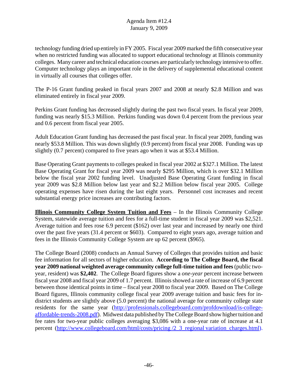technology funding dried up entirely in FY 2005. Fiscal year 2009 marked the fifth consecutive year when no restricted funding was allocated to support educational technology at Illinois community colleges. Many career and technical education courses are particularly technology intensive to offer. Computer technology plays an important role in the delivery of supplemental educational content in virtually all courses that colleges offer.

The P-16 Grant funding peaked in fiscal years 2007 and 2008 at nearly \$2.8 Million and was eliminated entirely in fiscal year 2009.

Perkins Grant funding has decreased slightly during the past two fiscal years. In fiscal year 2009, funding was nearly \$15.3 Million. Perkins funding was down 0.4 percent from the previous year and 0.6 percent from fiscal year 2005.

Adult Education Grant funding has decreased the past fiscal year. In fiscal year 2009, funding was nearly \$53.8 Million. This was down slightly (0.9 percent) from fiscal year 2008. Funding was up slightly (0.7 percent) compared to five years ago when it was at \$53.4 Million.

Base Operating Grant payments to colleges peaked in fiscal year 2002 at \$327.1 Million. The latest Base Operating Grant for fiscal year 2009 was nearly \$295 Million, which is over \$32.1 Million below the fiscal year 2002 funding level. Unadjusted Base Operating Grant funding in fiscal year 2009 was \$2.8 Million below last year and \$2.2 Million below fiscal year 2005. College operating expenses have risen during the last eight years. Personnel cost increases and recent substantial energy price increases are contributing factors.

**Illinois Community College System Tuition and Fees** – In the Illinois Community College System, statewide average tuition and fees for a full-time student in fiscal year 2009 was \$2,521. Average tuition and fees rose 6.9 percent (\$162) over last year and increased by nearly one third over the past five years (31.4 percent or \$603). Compared to eight years ago, average tuition and fees in the Illinois Community College System are up 62 percent (\$965).

The College Board (2008) conducts an Annual Survey of Colleges that provides tuition and basic fee information for all sectors of higher education. **According to The College Board, the fiscal year 2009 national weighted average community college full-time tuition and fees** (public twoyear, resident) was **\$2,402**. The College Board figures show a *one-year* percent increase between fiscal year 2008 and fiscal year 2009 of 1.7 percent. Illinois showed a rate of increase of 6.9 percent between those identical points in time – fiscal year 2008 to fiscal year 2009. Based on The College Board figures, Illinois community college fiscal year 2009 average tuition and basic fees for indistrict students are slightly above  $(5.0 \text{ percent})$  the national average for community college state residents for the same year (http://professionals.collegeboard.com/profdownload/is-collegeaffordable-trends-2008.pdf). Midwest data published by The College Board show higher tuition and fee rates for two-year public colleges averaging \$3,086 with a one-year rate of increase at 4.1 percent (http://www.collegeboard.com/html/costs/pricing /2\_3\_regional variation\_charges.html).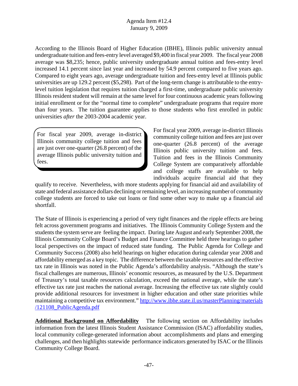According to the Illinois Board of Higher Education (IBHE), Illinois public university annual undergraduate tuition and fees-entry level averaged \$9,400 in fiscal year 2009. The fiscal year 2008 average was \$8,235; hence, public university undergraduate annual tuition and fees-entry level increased 14.1 percent since last year and increased by 54.9 percent compared to five years ago. Compared to eight years ago, average undergraduate tuition and fees-entry level at Illinois public universities are up 129.2 percent (\$5,298). Part of the long-term change is attributable to the entrylevel tuition legislation that requires tuition charged a first-time, undergraduate public university Illinois resident student will remain at the same level for four continuous academic years following initial enrollment or for the "normal time to complete" undergraduate programs that require more than four years. The tuition guarantee applies to those students who first enrolled in public universities *after* the 2003-2004 academic year.

For fiscal year 2009, average in-district Illinois community college tuition and fees are just over one-quarter (26.8 percent) of the average Illinois public university tuition and fees.

For fiscal year 2009, average in-district Illinois community college tuition and fees are just over one-quarter (26.8 percent) of the average Illinois public university tuition and fees. Tuition and fees in the Illinois Community College System are comparatively affordable and college staffs are available to help individuals acquire financial aid that they

qualify to receive. Nevertheless, with more students applying for financial aid and availability of state and federal assistance dollars declining or remaining level, an increasing number of community college students are forced to take out loans or find some other way to make up a financial aid shortfall.

The State of Illinois is experiencing a period of very tight finances and the ripple effects are being felt across government programs and initiatives. The Illinois Community College System and the students the system serve are feeling the impact. During late August and early September 2008, the Illinois Community College Board's Budget and Finance Committee held three hearings to gather local perspectives on the impact of reduced state funding. The Public Agenda for College and Community Success (2008) also held hearings on higher education during calendar year 2008 and affordability emerged as a key topic. The difference between the taxable resources and the effective tax rate in Illinois was noted in the Public Agenda's affordability analysis. "Although the state's fiscal challenges are numerous, Illinois' economic resources, as measured by the U.S. Department of Treasury's total taxable resources calculation, exceed the national average, while the state's effective tax rate just reaches the national average. Increasing the effective tax rate slightly could provide additional resources for investment in higher education and other state priorities while maintaining a competitive tax environment." http://www.ibhe.state.il.us/masterPlanning/materials /121108\_PublicAgenda.pdf

**Additional Background on Affordability** The following section on Affordability includes information from the latest Illinois Student Assistance Commission (ISAC) affordability studies, local community college-generated information about accomplishments and plans and emerging challenges, and then highlights statewide performance indicators generated by ISAC or the Illinois Community College Board.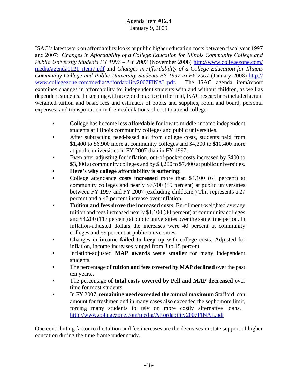ISAC's latest work on affordability looks at public higher education costs between fiscal year 1997 and 2007: *Changes in Affordability of a College Education for Illinois Community College and Public University Students FY 1997 – FY 2007* (November 2008) http://www.collegezone.com/ media/agenda1121\_item7.pdf and *Changes in Affordability of a College Education for Illinois Community College and Public University Students FY 1997 to FY 2007* (January 2008) http:// www.collegezone.com/media/Affordability2007FINAL.pdf. The ISAC agenda item/report examines changes in affordability for independent students with and without children, as well as dependent students. In keeping with accepted practice in the field, ISAC researchers included actual weighted tuition and basic fees and estimates of books and supplies, room and board, personal expenses, and transportation in their calculations of cost to attend college.

- College has become **less affordable** for low to middle-income independent students at Illinois community colleges and public universities.
- After subtracting need-based aid from college costs, students paid from \$1,400 to \$6,900 more at community colleges and \$4,200 to \$10,400 more at public universities in FY 2007 than in FY 1997.
- Even after adjusting for inflation, out-of-pocket costs increased by \$400 to \$3,800 at community colleges and by \$3,200 to \$7,400 at public universities.
- **Here's why college affordability is suffering**:
- College attendance **costs increased** more than \$4,100 (64 percent) at community colleges and nearly \$7,700 (89 percent) at public universities between FY 1997 and FY 2007 (excluding childcare.) This represents a 27 percent and a 47 percent increase over inflation.
- **Tuition and fees drove the increased costs**. Enrollment-weighted average tuition and fees increased nearly \$1,100 (80 percent) at community colleges and \$4,200 (117 percent) at public universities over the same time period. In inflation-adjusted dollars the increases were 40 percent at community colleges and 69 percent at public universities.
- Changes in **income failed to keep up** with college costs. Adjusted for inflation, income increases ranged from 8 to 15 percent.
- Inflation-adjusted **MAP awards were smaller** for many independent students.
- The percentage of **tuition and fees covered by MAP declined** over the past ten years..
- The percentage of **total costs covered by Pell and MAP decreased** over time for most students.
- In FY 2007, **remaining need exceeded the annual maximum** Stafford loan amount for freshmen and in many cases also exceeded the sophomore limit, forcing many students to rely on more costly alternative loans. http://www.collegezone.com/media/Affordability2007FINAL.pdf

One contributing factor to the tuition and fee increases are the decreases in state support of higher education during the time frame under study.